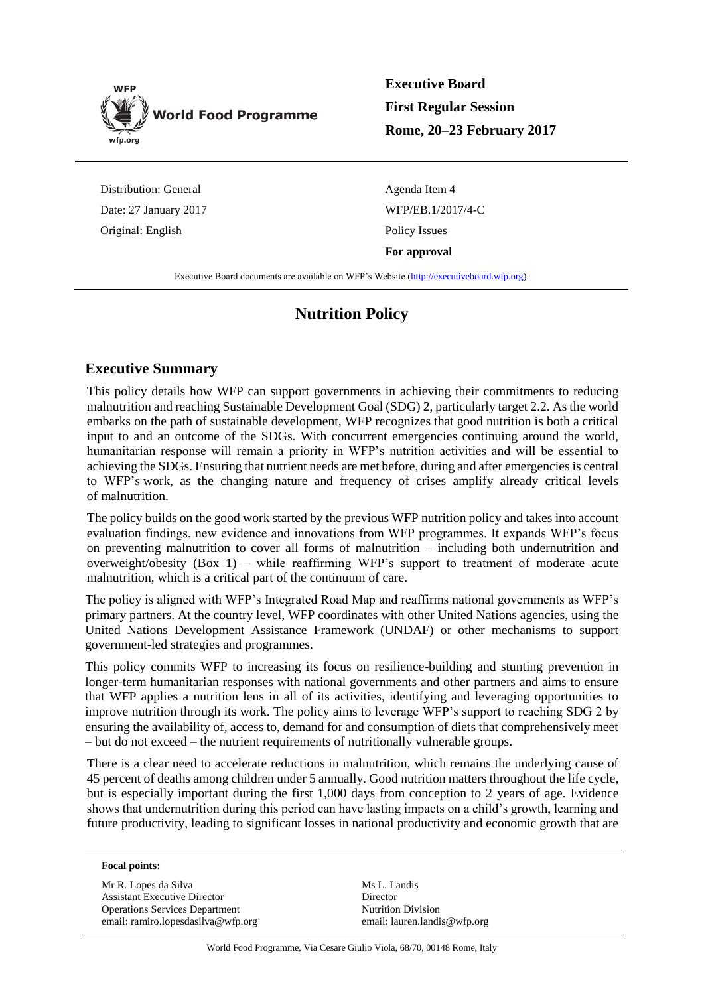

**Executive Board First Regular Session Rome, 20–23 February 2017**

Distribution: General Date: 27 January 2017 Original: English

Agenda Item 4 WFP/EB.1/2017/4-C Policy Issues **For approval**

Executive Board documents are available on WFP's Website [\(http://executiveboard.wfp.org\)](http://executiveboard.wfp.org/home).

# **Nutrition Policy**

## **Executive Summary**

This policy details how WFP can support governments in achieving their commitments to reducing malnutrition and reaching Sustainable Development Goal (SDG) 2, particularly target 2.2. As the world embarks on the path of sustainable development, WFP recognizes that good nutrition is both a critical input to and an outcome of the SDGs. With concurrent emergencies continuing around the world, humanitarian response will remain a priority in WFP's nutrition activities and will be essential to achieving the SDGs. Ensuring that nutrient needs are met before, during and after emergencies is central to WFP's work, as the changing nature and frequency of crises amplify already critical levels of malnutrition.

The policy builds on the good work started by the previous WFP nutrition policy and takes into account evaluation findings, new evidence and innovations from WFP programmes. It expands WFP's focus on preventing malnutrition to cover all forms of malnutrition – including both undernutrition and overweight/obesity (Box 1) – while reaffirming WFP's support to treatment of moderate acute malnutrition, which is a critical part of the continuum of care.

The policy is aligned with WFP's Integrated Road Map and reaffirms national governments as WFP's primary partners. At the country level, WFP coordinates with other United Nations agencies, using the United Nations Development Assistance Framework (UNDAF) or other mechanisms to support government-led strategies and programmes.

This policy commits WFP to increasing its focus on resilience-building and stunting prevention in longer-term humanitarian responses with national governments and other partners and aims to ensure that WFP applies a nutrition lens in all of its activities, identifying and leveraging opportunities to improve nutrition through its work. The policy aims to leverage WFP's support to reaching SDG 2 by ensuring the availability of, access to, demand for and consumption of diets that comprehensively meet – but do not exceed – the nutrient requirements of nutritionally vulnerable groups.

There is a clear need to accelerate reductions in malnutrition, which remains the underlying cause of 45 percent of deaths among children under 5 annually. Good nutrition matters throughout the life cycle, but is especially important during the first 1,000 days from conception to 2 years of age. Evidence shows that undernutrition during this period can have lasting impacts on a child's growth, learning and future productivity, leading to significant losses in national productivity and economic growth that are

#### **Focal points:**

Mr R. Lopes da Silva Assistant Executive Director Operations Services Department email: ramiro.lopesdasilva@wfp.org Ms L. Landis Director Nutrition Division email: lauren.landis@wfp.org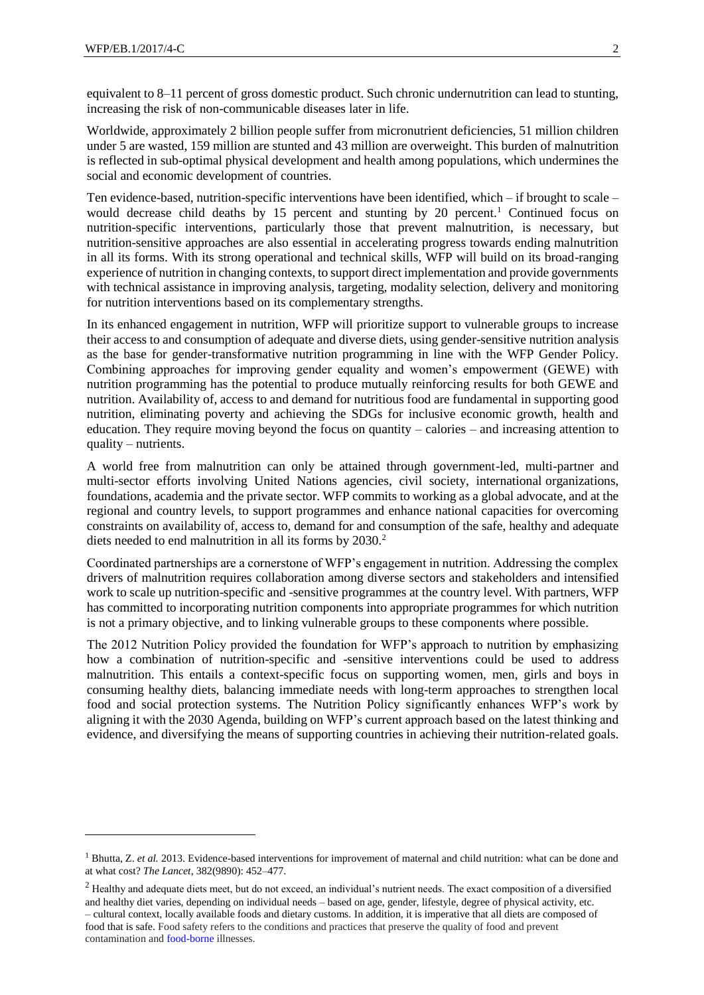equivalent to 8–11 percent of gross domestic product. Such chronic undernutrition can lead to stunting, increasing the risk of non-communicable diseases later in life.

Worldwide, approximately 2 billion people suffer from micronutrient deficiencies, 51 million children under 5 are wasted, 159 million are stunted and 43 million are overweight. This burden of malnutrition is reflected in sub-optimal physical development and health among populations, which undermines the social and economic development of countries.

Ten evidence-based, nutrition-specific interventions have been identified, which – if brought to scale – would decrease child deaths by 15 percent and stunting by 20 percent.<sup>1</sup> Continued focus on nutrition-specific interventions, particularly those that prevent malnutrition, is necessary, but nutrition-sensitive approaches are also essential in accelerating progress towards ending malnutrition in all its forms. With its strong operational and technical skills, WFP will build on its broad-ranging experience of nutrition in changing contexts, to support direct implementation and provide governments with technical assistance in improving analysis, targeting, modality selection, delivery and monitoring for nutrition interventions based on its complementary strengths.

In its enhanced engagement in nutrition, WFP will prioritize support to vulnerable groups to increase their access to and consumption of adequate and diverse diets, using gender-sensitive nutrition analysis as the base for gender-transformative nutrition programming in line with the WFP Gender Policy. Combining approaches for improving gender equality and women's empowerment (GEWE) with nutrition programming has the potential to produce mutually reinforcing results for both GEWE and nutrition. Availability of, access to and demand for nutritious food are fundamental in supporting good nutrition, eliminating poverty and achieving the SDGs for inclusive economic growth, health and education. They require moving beyond the focus on quantity – calories – and increasing attention to quality – nutrients.

A world free from malnutrition can only be attained through government-led, multi-partner and multi-sector efforts involving United Nations agencies, civil society, international organizations, foundations, academia and the private sector. WFP commits to working as a global advocate, and at the regional and country levels, to support programmes and enhance national capacities for overcoming constraints on availability of, access to, demand for and consumption of the safe, healthy and adequate diets needed to end malnutrition in all its forms by 2030.<sup>2</sup>

Coordinated partnerships are a cornerstone of WFP's engagement in nutrition. Addressing the complex drivers of malnutrition requires collaboration among diverse sectors and stakeholders and intensified work to scale up nutrition-specific and -sensitive programmes at the country level. With partners, WFP has committed to incorporating nutrition components into appropriate programmes for which nutrition is not a primary objective, and to linking vulnerable groups to these components where possible.

The 2012 Nutrition Policy provided the foundation for WFP's approach to nutrition by emphasizing how a combination of nutrition-specific and -sensitive interventions could be used to address malnutrition. This entails a context-specific focus on supporting women, men, girls and boys in consuming healthy diets, balancing immediate needs with long-term approaches to strengthen local food and social protection systems. The Nutrition Policy significantly enhances WFP's work by aligning it with the 2030 Agenda, building on WFP's current approach based on the latest thinking and evidence, and diversifying the means of supporting countries in achieving their nutrition-related goals.

<sup>&</sup>lt;sup>1</sup> Bhutta, Z. *et al.* 2013. Evidence-based interventions for improvement of maternal and child nutrition: what can be done and at what cost? *The Lancet*, 382(9890): 452–477.

 $2$  Healthy and adequate diets meet, but do not exceed, an individual's nutrient needs. The exact composition of a diversified and healthy diet varies, depending on individual needs – based on age, gender, lifestyle, degree of physical activity, etc. – cultural context, locally available foods and dietary customs. In addition, it is imperative that all diets are composed of food that is safe. Food safety refers to the conditions and practices that preserve the quality of food and prevent contamination and [food-borne](http://umm.edu/health/medical/ency/articles/food-safety) illnesses.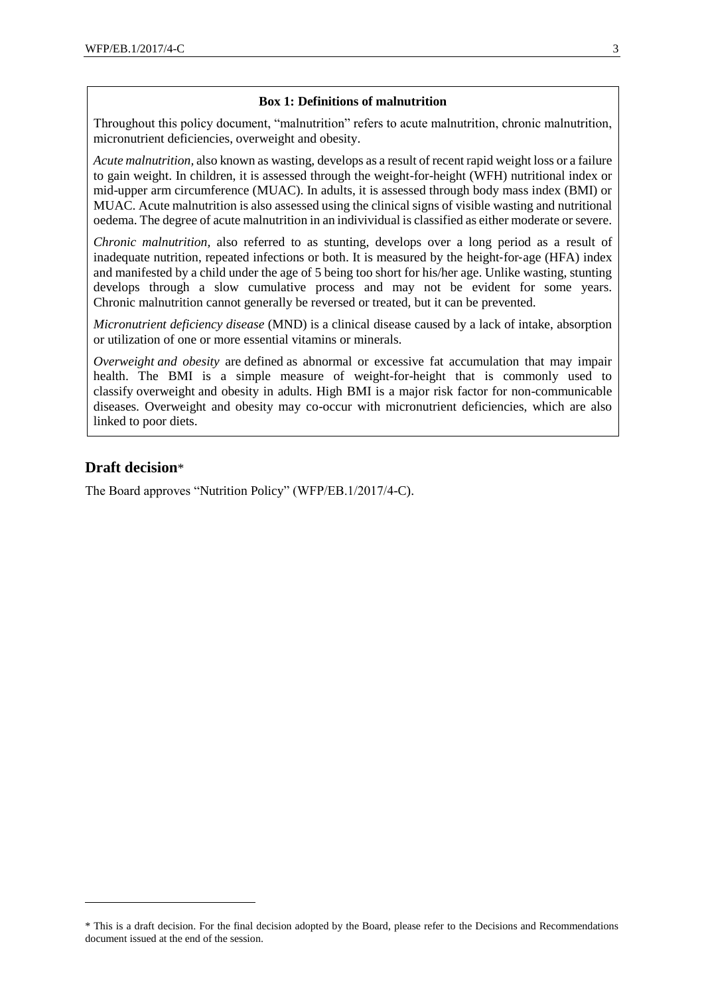#### **Box 1: Definitions of malnutrition**

Throughout this policy document, "malnutrition" refers to acute malnutrition, chronic malnutrition, micronutrient deficiencies, overweight and obesity.

*Acute malnutrition,* also known as wasting, develops as a result of recent rapid weight loss or a failure to gain weight. In children, it is assessed through the weight-for-height (WFH) nutritional index or mid-upper arm circumference (MUAC). In adults, it is assessed through body mass index (BMI) or MUAC. Acute malnutrition is also assessed using the clinical signs of visible wasting and nutritional oedema. The degree of acute malnutrition in an indivividual is classified as either moderate or severe.

*Chronic malnutrition,* also referred to as stunting, develops over a long period as a result of inadequate nutrition, repeated infections or both. It is measured by the height-for-age (HFA) index and manifested by a child under the age of 5 being too short for his/her age. Unlike wasting, stunting develops through a slow cumulative process and may not be evident for some years. Chronic malnutrition cannot generally be reversed or treated, but it can be prevented.

*Micronutrient deficiency disease* (MND) is a clinical disease caused by a lack of intake, absorption or utilization of one or more essential vitamins or minerals.

*Overweight and obesity* are defined as abnormal or excessive fat accumulation that may impair health. The BMI is a simple measure of weight-for-height that is commonly used to classify overweight and obesity in adults. High BMI is a major risk factor for non-communicable diseases. Overweight and obesity may co-occur with micronutrient deficiencies, which are also linked to poor diets.

## **Draft decision**\*

-

The Board approves "Nutrition Policy" (WFP/EB.1/2017/4-C).

<sup>\*</sup> This is a draft decision. For the final decision adopted by the Board, please refer to the Decisions and Recommendations document issued at the end of the session.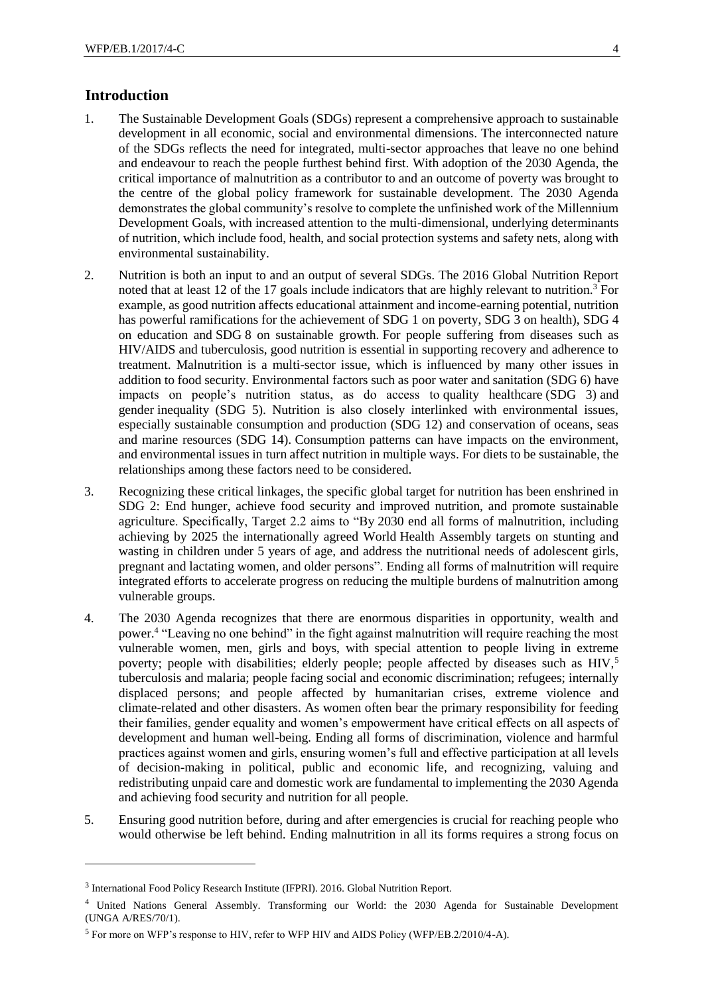## **Introduction**

- 1. The Sustainable Development Goals (SDGs) represent a comprehensive approach to sustainable development in all economic, social and environmental dimensions. The interconnected nature of the SDGs reflects the need for integrated, multi-sector approaches that leave no one behind and endeavour to reach the people furthest behind first. With adoption of the 2030 Agenda, the critical importance of malnutrition as a contributor to and an outcome of poverty was brought to the centre of the global policy framework for sustainable development. The 2030 Agenda demonstrates the global community's resolve to complete the unfinished work of the Millennium Development Goals, with increased attention to the multi-dimensional, underlying determinants of nutrition, which include food, health, and social protection systems and safety nets, along with environmental sustainability.
- <span id="page-3-0"></span>2. Nutrition is both an input to and an output of several SDGs. The 2016 Global Nutrition Report noted that at least 12 of the 17 goals include indicators that are highly relevant to nutrition.<sup>3</sup> For example, as good nutrition affects educational attainment and income-earning potential, nutrition has powerful ramifications for the achievement of SDG 1 on poverty, SDG 3 on health), SDG 4 on education and SDG 8 on sustainable growth. For people suffering from diseases such as HIV/AIDS and tuberculosis, good nutrition is essential in supporting recovery and adherence to treatment. Malnutrition is a multi-sector issue, which is influenced by many other issues in addition to food security. Environmental factors such as poor water and sanitation (SDG 6) have impacts on people's nutrition status, as do access to quality healthcare (SDG 3) and gender inequality (SDG 5). Nutrition is also closely interlinked with environmental issues, especially sustainable consumption and production (SDG 12) and conservation of oceans, seas and marine resources (SDG 14). Consumption patterns can have impacts on the environment, and environmental issues in turn affect nutrition in multiple ways. For diets to be sustainable, the relationships among these factors need to be considered.
- 3. Recognizing these critical linkages, the specific global target for nutrition has been enshrined in SDG 2: End hunger, achieve food security and improved nutrition, and promote sustainable agriculture. Specifically, Target 2.2 aims to "By 2030 end all forms of malnutrition, including achieving by 2025 the internationally agreed World Health Assembly targets on stunting and wasting in children under 5 years of age, and address the nutritional needs of adolescent girls, pregnant and lactating women, and older persons". Ending all forms of malnutrition will require integrated efforts to accelerate progress on reducing the multiple burdens of malnutrition among vulnerable groups.
- 4. The 2030 Agenda recognizes that there are enormous disparities in opportunity, wealth and power.<sup>4</sup> "Leaving no one behind" in the fight against malnutrition will require reaching the most vulnerable women, men, girls and boys, with special attention to people living in extreme poverty; people with disabilities; elderly people; people affected by diseases such as HIV,<sup>5</sup> tuberculosis and malaria; people facing social and economic discrimination; refugees; internally displaced persons; and people affected by humanitarian crises, extreme violence and climate-related and other disasters. As women often bear the primary responsibility for feeding their families, gender equality and women's empowerment have critical effects on all aspects of development and human well-being. Ending all forms of discrimination, violence and harmful practices against women and girls, ensuring women's full and effective participation at all levels of decision-making in political, public and economic life, and recognizing, valuing and redistributing unpaid care and domestic work are fundamental to implementing the 2030 Agenda and achieving food security and nutrition for all people.
- 5. Ensuring good nutrition before, during and after emergencies is crucial for reaching people who would otherwise be left behind. Ending malnutrition in all its forms requires a strong focus on

<sup>&</sup>lt;sup>3</sup> International Food Policy Research Institute (IFPRI). 2016. Global Nutrition Report.

<sup>4</sup> United Nations General Assembly. Transforming our World: the 2030 Agenda for Sustainable Development (UNGA A/RES/70/1).

<sup>5</sup> For more on WFP's response to HIV, refer to WFP HIV and AIDS Policy (WFP/EB.2/2010/4-A).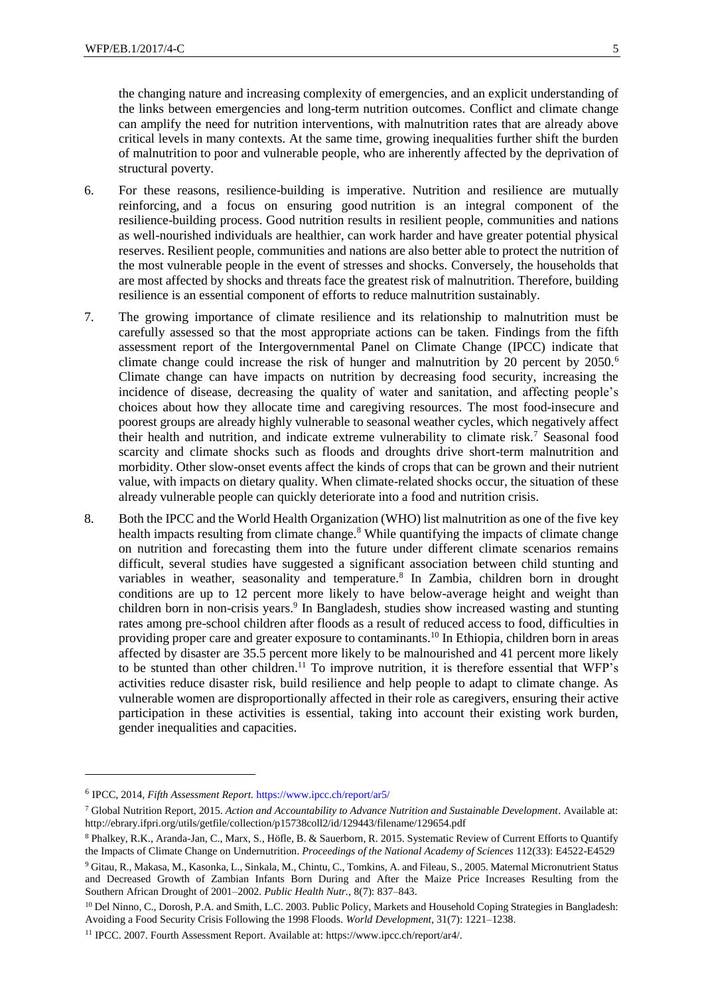the changing nature and increasing complexity of emergencies, and an explicit understanding of the links between emergencies and long-term nutrition outcomes. Conflict and climate change can amplify the need for nutrition interventions, with malnutrition rates that are already above critical levels in many contexts. At the same time, growing inequalities further shift the burden of malnutrition to poor and vulnerable people, who are inherently affected by the deprivation of structural poverty.

- 6. For these reasons, resilience-building is imperative. Nutrition and resilience are mutually reinforcing, and a focus on ensuring good nutrition is an integral component of the resilience-building process. Good nutrition results in resilient people, communities and nations as well-nourished individuals are healthier, can work harder and have greater potential physical reserves. Resilient people, communities and nations are also better able to protect the nutrition of the most vulnerable people in the event of stresses and shocks. Conversely, the households that are most affected by shocks and threats face the greatest risk of malnutrition. Therefore, building resilience is an essential component of efforts to reduce malnutrition sustainably.
- 7. The growing importance of climate resilience and its relationship to malnutrition must be carefully assessed so that the most appropriate actions can be taken. Findings from the fifth assessment report of the Intergovernmental Panel on Climate Change (IPCC) indicate that climate change could increase the risk of hunger and malnutrition by 20 percent by 2050.<sup>6</sup> Climate change can have impacts on nutrition by decreasing food security, increasing the incidence of disease, decreasing the quality of water and sanitation, and affecting people's choices about how they allocate time and caregiving resources. The most food-insecure and poorest groups are already highly vulnerable to seasonal weather cycles, which negatively affect their health and nutrition, and indicate extreme vulnerability to climate risk.<sup>7</sup> Seasonal food scarcity and climate shocks such as floods and droughts drive short-term malnutrition and morbidity. Other slow-onset events affect the kinds of crops that can be grown and their nutrient value, with impacts on dietary quality. When climate-related shocks occur, the situation of these already vulnerable people can quickly deteriorate into a food and nutrition crisis.
- <span id="page-4-0"></span>8. Both the IPCC and the World Health Organization (WHO) list malnutrition as one of the five key health impacts resulting from climate change. $8$  While quantifying the impacts of climate change on nutrition and forecasting them into the future under different climate scenarios remains difficult, several studies have suggested a significant association between child stunting and variables in weather, seasonality and temperature[.](#page-4-0)<sup>8</sup> In Zambia, children born in drought conditions are up to 12 percent more likely to have below-average height and weight than children born in non-crisis years.<sup>9</sup> In Bangladesh, studies show increased wasting and stunting rates among pre-school children after floods as a result of reduced access to food, difficulties in providing proper care and greater exposure to contaminants.<sup>10</sup> In Ethiopia, children born in areas affected by disaster are 35.5 percent more likely to be malnourished and 41 percent more likely to be stunted than other children.<sup>11</sup> To improve nutrition, it is therefore essential that WFP's activities reduce disaster risk, build resilience and help people to adapt to climate change. As vulnerable women are disproportionally affected in their role as caregivers, ensuring their active participation in these activities is essential, taking into account their existing work burden, gender inequalities and capacities.

<sup>6</sup> IPCC, 2014, *Fifth Assessment Report.* <https://www.ipcc.ch/report/ar5/>

<sup>7</sup> Global Nutrition Report, 2015. *Action and Accountability to Advance Nutrition and Sustainable Development*. Available at: http://ebrary.ifpri.org/utils/getfile/collection/p15738coll2/id/129443/filename/129654.pdf

<sup>8</sup> Phalkey, R.K., Aranda-Jan, C., Marx, S., Höfle, B. & Sauerborn, R. 2015. Systematic Review of Current Efforts to Quantify the Impacts of Climate Change on Undernutrition. *Proceedings of the National Academy of Sciences* 112(33): E4522-E4529

<sup>9</sup> Gitau, R., Makasa, M., Kasonka, L., Sinkala, M., Chintu, C., Tomkins, A. and Fileau, S., 2005. Maternal Micronutrient Status and Decreased Growth of Zambian Infants Born During and After the Maize Price Increases Resulting from the Southern African Drought of 2001–2002. *Public Health Nutr.,* 8(7): 837–843.

<sup>&</sup>lt;sup>10</sup> Del Ninno, C., Dorosh, P.A. and Smith, L.C. 2003. Public Policy, Markets and Household Coping Strategies in Bangladesh: Avoiding a Food Security Crisis Following the 1998 Floods. *World Development,* 31(7): 1221–1238.

<sup>11</sup> IPCC. 2007. Fourth Assessment Report. Available at[: https://www.ipcc.ch/report/ar4/.](https://www.ipcc.ch/report/ar4/)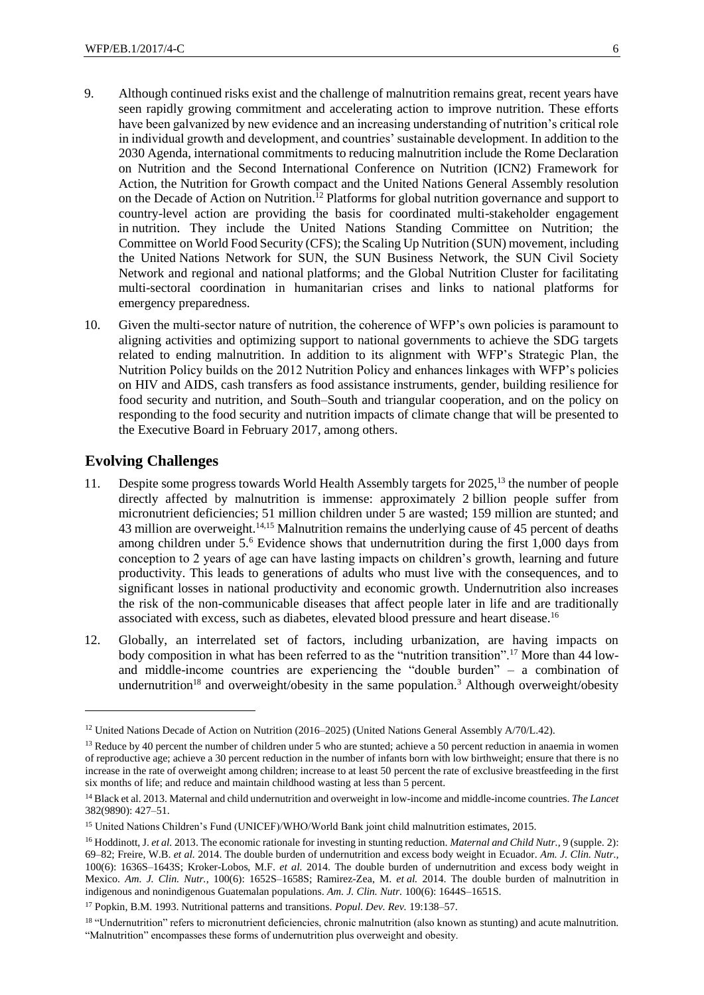- 9. Although continued risks exist and the challenge of malnutrition remains great, recent years have seen rapidly growing commitment and accelerating action to improve nutrition. These efforts have been galvanized by new evidence and an increasing understanding of nutrition's critical role in individual growth and development, and countries' sustainable development. In addition to the 2030 Agenda, international commitments to reducing malnutrition include the Rome Declaration on Nutrition and the Second International Conference on Nutrition (ICN2) Framework for Action, the Nutrition for Growth compact and the United Nations General Assembly resolution on the Decade of Action on Nutrition.<sup>12</sup> Platforms for global nutrition governance and support to country-level action are providing the basis for coordinated multi-stakeholder engagement in nutrition. They include the United Nations Standing Committee on Nutrition; the Committee on World Food Security (CFS); the Scaling Up Nutrition (SUN) movement, including the United Nations Network for SUN, the SUN Business Network, the SUN Civil Society Network and regional and national platforms; and the Global Nutrition Cluster for facilitating multi-sectoral coordination in humanitarian crises and links to national platforms for emergency preparedness.
- 10. Given the multi-sector nature of nutrition, the coherence of WFP's own policies is paramount to aligning activities and optimizing support to national governments to achieve the SDG targets related to ending malnutrition. In addition to its alignment with WFP's Strategic Plan, the Nutrition Policy builds on the 2012 Nutrition Policy and enhances linkages with WFP's policies on HIV and AIDS, cash transfers as food assistance instruments, gender, building resilience for food security and nutrition, and South–South and triangular cooperation, and on the policy on responding to the food security and nutrition impacts of climate change that will be presented to the Executive Board in February 2017, among others.

#### **Evolving Challenges**

- 11. Despite some progress towards World Health Assembly targets for 2025,<sup>13</sup> the number of people directly affected by malnutrition is immense: approximately 2 billion people suffer from micronutrient deficiencies; 51 million children under 5 are wasted; 159 million are stunted; and 43 million are overweight.<sup>14,15</sup> Malnutrition remains the underlying cause of 45 percent of deaths among children under  $5<sup>6</sup>$  Evidence shows that undernutrition during the first 1,000 days from conception to 2 years of age can have lasting impacts on children's growth, learning and future productivity. This leads to generations of adults who must live with the consequences, and to significant losses in national productivity and economic growth. Undernutrition also increases the risk of the non-communicable diseases that affect people later in life and are traditionally associated with excess, such as diabetes, elevated blood pressure and heart disease.<sup>16</sup>
- 12. Globally, an interrelated set of factors, including urbanization, are having impacts on body composition in what has been referred to as the "nutrition transition".<sup>17</sup> More than 44 lowand middle-income countries are experiencing the "double burden" – a combination of undernutrition<sup>18</sup> and overweight/obesity in the same population[.](#page-3-0)<sup>3</sup> Although overweight/obesity

<sup>&</sup>lt;sup>12</sup> United Nations Decade of Action on Nutrition (2016–2025) (United Nations General Assembly A/70/L.42).

<sup>&</sup>lt;sup>13</sup> Reduce by 40 percent the number of children under 5 who are stunted; achieve a 50 percent reduction in anaemia in women of reproductive age; achieve a 30 percent reduction in the number of infants born with low birthweight; ensure that there is no increase in the rate of overweight among children; increase to at least 50 percent the rate of exclusive breastfeeding in the first six months of life; and reduce and maintain childhood wasting at less than 5 percent.

<sup>14</sup> Black et al. 2013. Maternal and child undernutrition and overweight in low-income and middle-income countries. *The Lancet* 382(9890): 427–51.

<sup>15</sup> United Nations Children's Fund (UNICEF)/WHO/World Bank joint child malnutrition estimates, 2015.

<sup>16</sup> Hoddinott, J. *et al.* 2013. The economic rationale for investing in stunting reduction. *Maternal and Child Nutr.,* 9 (supple. 2): 69–82; Freire, W.B. *et al.* 2014. The double burden of undernutrition and excess body weight in Ecuador. *Am. J. Clin. Nutr.,*  100(6): 1636S–1643S; Kroker-Lobos, M.F. *et al.* 2014. The double burden of undernutrition and excess body weight in Mexico. *Am. J. Clin. Nutr.,* 100(6): 1652S–1658S; Ramirez-Zea, M. *et al.* 2014. The double burden of malnutrition in indigenous and nonindigenous Guatemalan populations. *Am. J. Clin. Nutr.* 100(6): 1644S–1651S.

<sup>17</sup> Popkin, B.M. 1993. Nutritional patterns and transitions. *Popul. Dev. Rev.* 19:138–57.

<sup>&</sup>lt;sup>18</sup> "Undernutrition" refers to micronutrient deficiencies, chronic malnutrition (also known as stunting) and acute malnutrition. "Malnutrition" encompasses these forms of undernutrition plus overweight and obesity.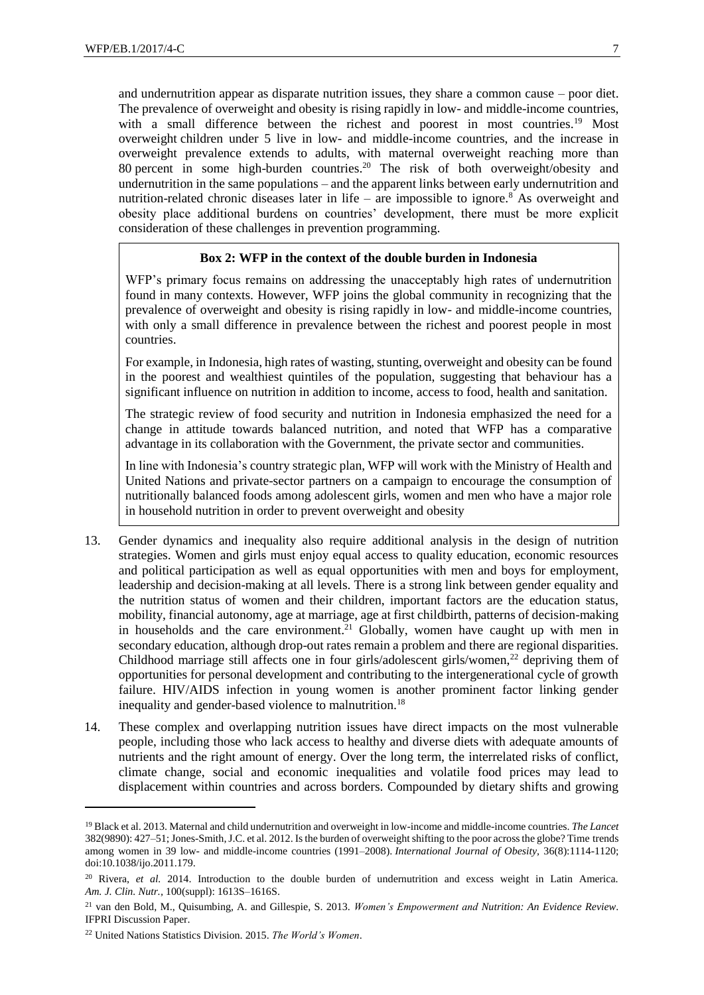and undernutrition appear as disparate nutrition issues, they share a common cause – poor diet. The prevalence of overweight and obesity is rising rapidly in low- and middle-income countries, with a small difference between the richest and poorest in most countries.<sup>19</sup> Most overweight children under 5 live in low- and middle-income countries, and the increase in overweight prevalence extends to adults, with maternal overweight reaching more than 80 percent in some high-burden countries.<sup>20</sup> The risk of both overweight/obesity and undernutrition in the same populations – and the apparent links between early undernutrition and nutrition-related chronic diseases later in life – are impossible to ignore.<sup>8</sup> As overweight and obesity place additional burdens on countries' development, there must be more explicit consideration of these challenges in prevention programming.

## **Box 2: WFP in the context of the double burden in Indonesia**

WFP's primary focus remains on addressing the unacceptably high rates of undernutrition found in many contexts. However, WFP joins the global community in recognizing that the prevalence of overweight and obesity is rising rapidly in low- and middle-income countries, with only a small difference in prevalence between the richest and poorest people in most countries.

For example, in Indonesia, high rates of wasting, stunting, overweight and obesity can be found in the poorest and wealthiest quintiles of the population, suggesting that behaviour has a significant influence on nutrition in addition to income, access to food, health and sanitation.

The strategic review of food security and nutrition in Indonesia emphasized the need for a change in attitude towards balanced nutrition, and noted that WFP has a comparative advantage in its collaboration with the Government, the private sector and communities.

In line with Indonesia's country strategic plan, WFP will work with the Ministry of Health and United Nations and private-sector partners on a campaign to encourage the consumption of nutritionally balanced foods among adolescent girls, women and men who have a major role in household nutrition in order to prevent overweight and obesity

- 13. Gender dynamics and inequality also require additional analysis in the design of nutrition strategies. Women and girls must enjoy equal access to quality education, economic resources and political participation as well as equal opportunities with men and boys for employment, leadership and decision-making at all levels. There is a strong link between gender equality and the nutrition status of women and their children, important factors are the education status, mobility, financial autonomy, age at marriage, age at first childbirth, patterns of decision-making in households and the care environment.<sup>21</sup> Globally, women have caught up with men in secondary education, although drop-out rates remain a problem and there are regional disparities. Childhood marriage still affects one in four girls/adolescent girls/women, $^{22}$  depriving them of opportunities for personal development and contributing to the intergenerational cycle of growth failure. HIV/AIDS infection in young women is another prominent factor linking gender inequality and gender-based violence to malnutrition.<sup>18</sup>
- 14. These complex and overlapping nutrition issues have direct impacts on the most vulnerable people, including those who lack access to healthy and diverse diets with adequate amounts of nutrients and the right amount of energy. Over the long term, the interrelated risks of conflict, climate change, social and economic inequalities and volatile food prices may lead to displacement within countries and across borders. Compounded by dietary shifts and growing

<sup>19</sup> Black et al. 2013. Maternal and child undernutrition and overweight in low-income and middle-income countries. *The Lancet* 382(9890): 427–51; Jones-Smith, J.C. et al. 2012. Is the burden of overweight shifting to the poor across the globe? Time trends among women in 39 low- and middle-income countries (1991–2008). *International Journal of Obesity,* 36(8):1114-1120; doi:10.1038/ijo.2011.179.

<sup>&</sup>lt;sup>20</sup> Rivera, *et al.* 2014. Introduction to the double burden of undernutrition and excess weight in Latin America. *Am. J. Clin. Nutr.,* 100(suppl): 1613S–1616S.

<sup>21</sup> van den Bold, M., Quisumbing, A. and Gillespie, S. 2013. *Women's Empowerment and Nutrition: An Evidence Review*. IFPRI Discussion Paper.

<sup>22</sup> United Nations Statistics Division. 2015. *The World's Women*.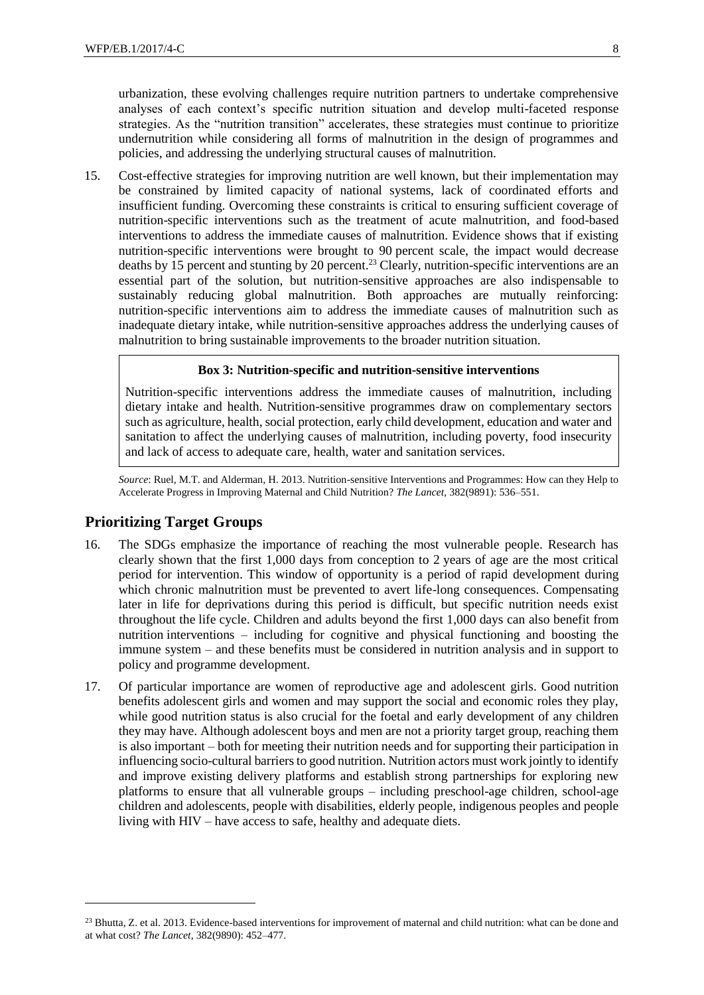urbanization, these evolving challenges require nutrition partners to undertake comprehensive analyses of each context's specific nutrition situation and develop multi-faceted response strategies. As the "nutrition transition" accelerates, these strategies must continue to prioritize undernutrition while considering all forms of malnutrition in the design of programmes and policies, and addressing the underlying structural causes of malnutrition.

15. Cost-effective strategies for improving nutrition are well known, but their implementation may be constrained by limited capacity of national systems, lack of coordinated efforts and insufficient funding. Overcoming these constraints is critical to ensuring sufficient coverage of nutrition-specific interventions such as the treatment of acute malnutrition, and food-based interventions to address the immediate causes of malnutrition. Evidence shows that if existing nutrition-specific interventions were brought to 90 percent scale, the impact would decrease deaths by 15 percent and stunting by 20 percent.<sup>23</sup> Clearly, nutrition-specific interventions are an essential part of the solution, but nutrition-sensitive approaches are also indispensable to sustainably reducing global malnutrition. Both approaches are mutually reinforcing: nutrition-specific interventions aim to address the immediate causes of malnutrition such as inadequate dietary intake, while nutrition-sensitive approaches address the underlying causes of malnutrition to bring sustainable improvements to the broader nutrition situation.

#### **Box 3: Nutrition-specific and nutrition-sensitive interventions**

Nutrition-specific interventions address the immediate causes of malnutrition, including dietary intake and health. Nutrition-sensitive programmes draw on complementary sectors such as agriculture, health, social protection, early child development, education and water and sanitation to affect the underlying causes of malnutrition, including poverty, food insecurity and lack of access to adequate care, health, water and sanitation services.

*Source*: Ruel, M.T. and Alderman, H. 2013. Nutrition-sensitive Interventions and Programmes: How can they Help to Accelerate Progress in Improving Maternal and Child Nutrition? *The Lancet*, 382(9891): 536–551.

## **Prioritizing Target Groups**

- 16. The SDGs emphasize the importance of reaching the most vulnerable people. Research has clearly shown that the first 1,000 days from conception to 2 years of age are the most critical period for intervention. This window of opportunity is a period of rapid development during which chronic malnutrition must be prevented to avert life-long consequences. Compensating later in life for deprivations during this period is difficult, but specific nutrition needs exist throughout the life cycle. Children and adults beyond the first 1,000 days can also benefit from nutrition interventions – including for cognitive and physical functioning and boosting the immune system – and these benefits must be considered in nutrition analysis and in support to policy and programme development.
- 17. Of particular importance are women of reproductive age and adolescent girls. Good nutrition benefits adolescent girls and women and may support the social and economic roles they play, while good nutrition status is also crucial for the foetal and early development of any children they may have. Although adolescent boys and men are not a priority target group, reaching them is also important – both for meeting their nutrition needs and for supporting their participation in influencing socio-cultural barriers to good nutrition. Nutrition actors must work jointly to identify and improve existing delivery platforms and establish strong partnerships for exploring new platforms to ensure that all vulnerable groups – including preschool-age children, school-age children and adolescents, people with disabilities, elderly people, indigenous peoples and people living with HIV – have access to safe, healthy and adequate diets.

<sup>&</sup>lt;sup>23</sup> Bhutta, Z. et al. 2013. Evidence-based interventions for improvement of maternal and child nutrition: what can be done and at what cost? *The Lancet*, 382(9890): 452–477.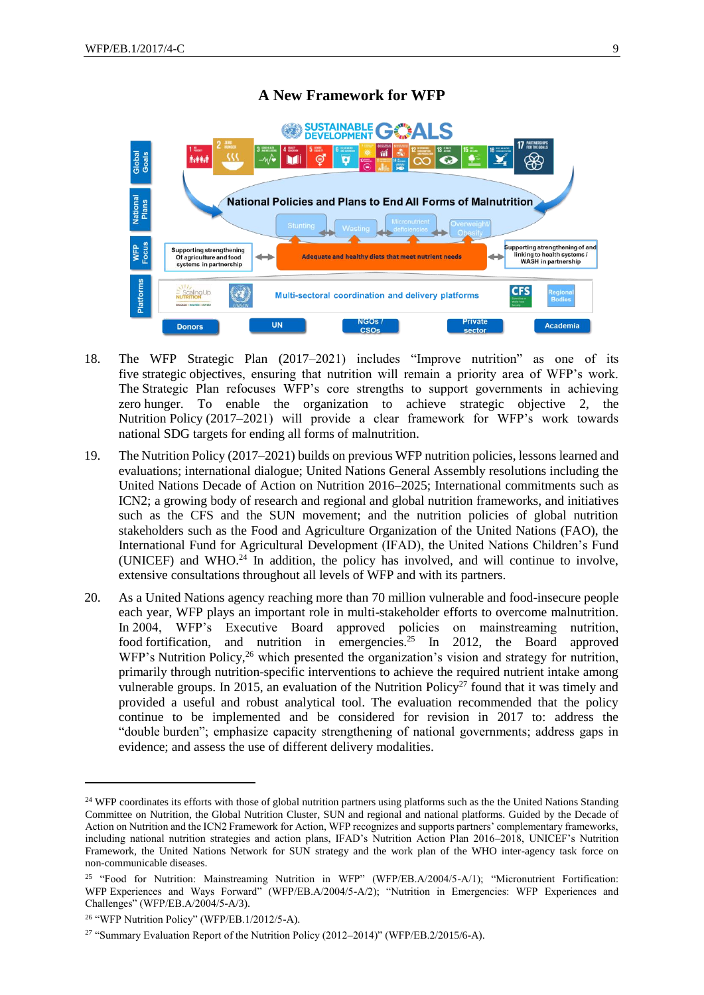# **A New Framework for WFP**



- 18. The WFP Strategic Plan (2017–2021) includes "Improve nutrition" as one of its five strategic objectives, ensuring that nutrition will remain a priority area of WFP's work. The Strategic Plan refocuses WFP's core strengths to support governments in achieving zero hunger. To enable the organization to achieve strategic objective 2, the Nutrition Policy (2017–2021) will provide a clear framework for WFP's work towards national SDG targets for ending all forms of malnutrition.
- 19. The Nutrition Policy (2017–2021) builds on previous WFP nutrition policies, lessons learned and evaluations; international dialogue; United Nations General Assembly resolutions including the United Nations Decade of Action on Nutrition 2016–2025; International commitments such as ICN2; a growing body of research and regional and global nutrition frameworks, and initiatives such as the CFS and the SUN movement; and the nutrition policies of global nutrition stakeholders such as the Food and Agriculture Organization of the United Nations (FAO), the International Fund for Agricultural Development (IFAD), the United Nations Children's Fund (UNICEF) and WHO. $^{24}$  In addition, the policy has involved, and will continue to involve, extensive consultations throughout all levels of WFP and with its partners.
- 20. As a United Nations agency reaching more than 70 million vulnerable and food-insecure people each year, WFP plays an important role in multi-stakeholder efforts to overcome malnutrition. In 2004, WFP's Executive Board approved policies on mainstreaming nutrition, food fortification, and nutrition in emergencies.<sup>25</sup> In 2012, the Board approved WFP's Nutrition Policy,<sup>26</sup> which presented the organization's vision and strategy for nutrition, primarily through nutrition-specific interventions to achieve the required nutrient intake among vulnerable groups. In 2015, an evaluation of the Nutrition Policy<sup>27</sup> found that it was timely and provided a useful and robust analytical tool. The evaluation recommended that the policy continue to be implemented and be considered for revision in 2017 to: address the "double burden"; emphasize capacity strengthening of national governments; address gaps in evidence; and assess the use of different delivery modalities.

<sup>&</sup>lt;sup>24</sup> WFP coordinates its efforts with those of global nutrition partners using platforms such as the the United Nations Standing Committee on Nutrition, the Global Nutrition Cluster, SUN and regional and national platforms. Guided by the Decade of Action on Nutrition and the ICN2 Framework for Action, WFP recognizes and supports partners' complementary frameworks, including national nutrition strategies and action plans, IFAD's Nutrition Action Plan 2016–2018, UNICEF's Nutrition Framework, the United Nations Network for SUN strategy and the work plan of the WHO inter-agency task force on non-communicable diseases.

<sup>25</sup> "Food for Nutrition: Mainstreaming Nutrition in WFP" (WFP/EB.A/2004/5-A/1); "Micronutrient Fortification: WFP Experiences and Ways Forward" (WFP/EB.A/2004/5-A/2); "Nutrition in Emergencies: WFP Experiences and Challenges" (WFP/EB.A/2004/5-A/3).

<sup>26</sup> "WFP Nutrition Policy" (WFP/EB.1/2012/5-A).

<sup>&</sup>lt;sup>27</sup> "Summary Evaluation Report of the Nutrition Policy (2012–2014)" (WFP/EB.2/2015/6-A).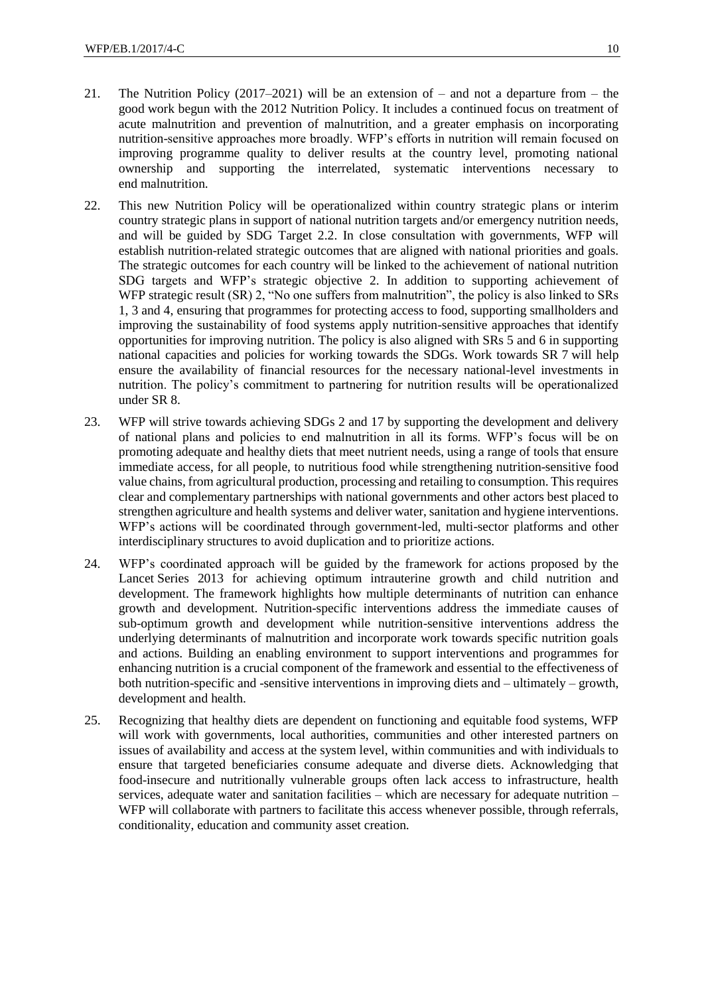- 21. The Nutrition Policy (2017–2021) will be an extension of and not a departure from the good work begun with the 2012 Nutrition Policy. It includes a continued focus on treatment of acute malnutrition and prevention of malnutrition, and a greater emphasis on incorporating nutrition-sensitive approaches more broadly. WFP's efforts in nutrition will remain focused on improving programme quality to deliver results at the country level, promoting national ownership and supporting the interrelated, systematic interventions necessary to end malnutrition.
- 22. This new Nutrition Policy will be operationalized within country strategic plans or interim country strategic plans in support of national nutrition targets and/or emergency nutrition needs, and will be guided by SDG Target 2.2. In close consultation with governments, WFP will establish nutrition-related strategic outcomes that are aligned with national priorities and goals. The strategic outcomes for each country will be linked to the achievement of national nutrition SDG targets and WFP's strategic objective 2. In addition to supporting achievement of WFP strategic result (SR) 2, "No one suffers from malnutrition", the policy is also linked to SRs 1, 3 and 4, ensuring that programmes for protecting access to food, supporting smallholders and improving the sustainability of food systems apply nutrition-sensitive approaches that identify opportunities for improving nutrition. The policy is also aligned with SRs 5 and 6 in supporting national capacities and policies for working towards the SDGs. Work towards SR 7 will help ensure the availability of financial resources for the necessary national-level investments in nutrition. The policy's commitment to partnering for nutrition results will be operationalized under SR 8.
- 23. WFP will strive towards achieving SDGs 2 and 17 by supporting the development and delivery of national plans and policies to end malnutrition in all its forms. WFP's focus will be on promoting adequate and healthy diets that meet nutrient needs, using a range of tools that ensure immediate access, for all people, to nutritious food while strengthening nutrition-sensitive food value chains, from agricultural production, processing and retailing to consumption. This requires clear and complementary partnerships with national governments and other actors best placed to strengthen agriculture and health systems and deliver water, sanitation and hygiene interventions. WFP's actions will be coordinated through government-led, multi-sector platforms and other interdisciplinary structures to avoid duplication and to prioritize actions.
- 24. WFP's coordinated approach will be guided by the framework for actions proposed by the Lancet Series 2013 for achieving optimum intrauterine growth and child nutrition and development. The framework highlights how multiple determinants of nutrition can enhance growth and development. Nutrition-specific interventions address the immediate causes of sub-optimum growth and development while nutrition-sensitive interventions address the underlying determinants of malnutrition and incorporate work towards specific nutrition goals and actions. Building an enabling environment to support interventions and programmes for enhancing nutrition is a crucial component of the framework and essential to the effectiveness of both nutrition-specific and -sensitive interventions in improving diets and – ultimately – growth, development and health.
- 25. Recognizing that healthy diets are dependent on functioning and equitable food systems, WFP will work with governments, local authorities, communities and other interested partners on issues of availability and access at the system level, within communities and with individuals to ensure that targeted beneficiaries consume adequate and diverse diets. Acknowledging that food-insecure and nutritionally vulnerable groups often lack access to infrastructure, health services, adequate water and sanitation facilities – which are necessary for adequate nutrition – WFP will collaborate with partners to facilitate this access whenever possible, through referrals, conditionality, education and community asset creation.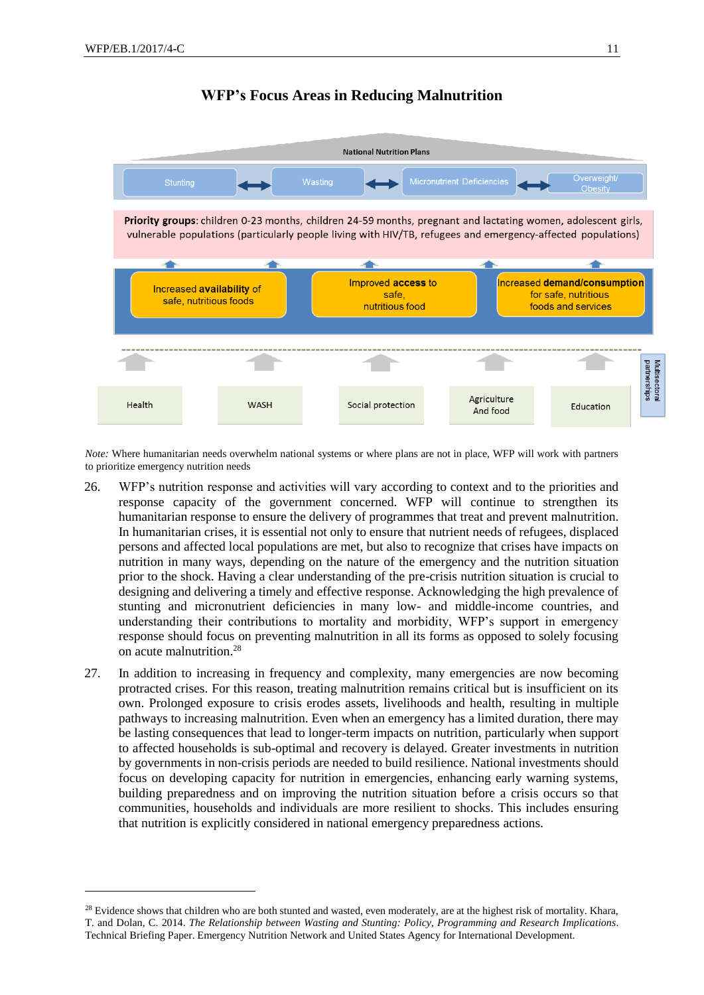-

## **WFP's Focus Areas in Reducing Malnutrition**



*Note:* Where humanitarian needs overwhelm national systems or where plans are not in place, WFP will work with partners to prioritize emergency nutrition needs

- 26. WFP's nutrition response and activities will vary according to context and to the priorities and response capacity of the government concerned. WFP will continue to strengthen its humanitarian response to ensure the delivery of programmes that treat and prevent malnutrition. In humanitarian crises, it is essential not only to ensure that nutrient needs of refugees, displaced persons and affected local populations are met, but also to recognize that crises have impacts on nutrition in many ways, depending on the nature of the emergency and the nutrition situation prior to the shock. Having a clear understanding of the pre-crisis nutrition situation is crucial to designing and delivering a timely and effective response. Acknowledging the high prevalence of stunting and micronutrient deficiencies in many low- and middle-income countries, and understanding their contributions to mortality and morbidity, WFP's support in emergency response should focus on preventing malnutrition in all its forms as opposed to solely focusing on acute malnutrition.<sup>28</sup>
- 27. In addition to increasing in frequency and complexity, many emergencies are now becoming protracted crises. For this reason, treating malnutrition remains critical but is insufficient on its own. Prolonged exposure to crisis erodes assets, livelihoods and health, resulting in multiple pathways to increasing malnutrition. Even when an emergency has a limited duration, there may be lasting consequences that lead to longer-term impacts on nutrition, particularly when support to affected households is sub-optimal and recovery is delayed. Greater investments in nutrition by governments in non-crisis periods are needed to build resilience. National investments should focus on developing capacity for nutrition in emergencies, enhancing early warning systems, building preparedness and on improving the nutrition situation before a crisis occurs so that communities, households and individuals are more resilient to shocks. This includes ensuring that nutrition is explicitly considered in national emergency preparedness actions.

<sup>&</sup>lt;sup>28</sup> Evidence shows that children who are both stunted and wasted, even moderately, are at the highest risk of mortality. Khara, T. and Dolan, C. 2014. *The Relationship between Wasting and Stunting: Policy, Programming and Research Implications*. Technical Briefing Paper. Emergency Nutrition Network and United States Agency for International Development.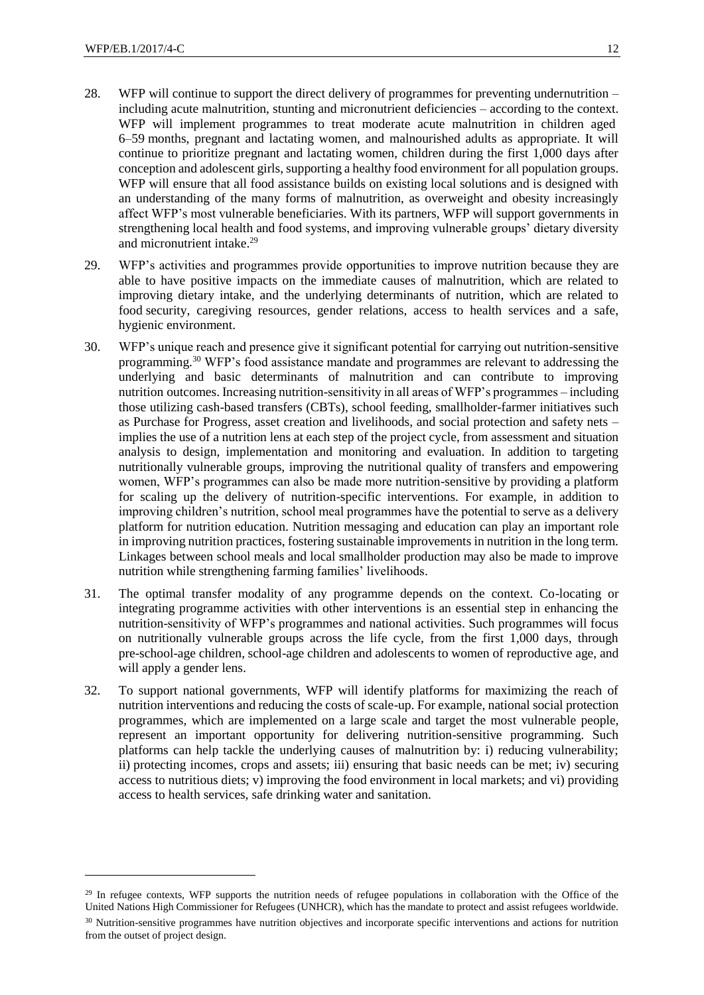- 28. WFP will continue to support the direct delivery of programmes for preventing undernutrition including acute malnutrition, stunting and micronutrient deficiencies – according to the context. WFP will implement programmes to treat moderate acute malnutrition in children aged 6–59 months, pregnant and lactating women, and malnourished adults as appropriate. It will continue to prioritize pregnant and lactating women, children during the first 1,000 days after conception and adolescent girls, supporting a healthy food environment for all population groups. WFP will ensure that all food assistance builds on existing local solutions and is designed with an understanding of the many forms of malnutrition, as overweight and obesity increasingly affect WFP's most vulnerable beneficiaries. With its partners, WFP will support governments in strengthening local health and food systems, and improving vulnerable groups' dietary diversity and micronutrient intake.<sup>29</sup>
- 29. WFP's activities and programmes provide opportunities to improve nutrition because they are able to have positive impacts on the immediate causes of malnutrition, which are related to improving dietary intake, and the underlying determinants of nutrition, which are related to food security, caregiving resources, gender relations, access to health services and a safe, hygienic environment.
- 30. WFP's unique reach and presence give it significant potential for carrying out nutrition-sensitive programming.<sup>30</sup> WFP's food assistance mandate and programmes are relevant to addressing the underlying and basic determinants of malnutrition and can contribute to improving nutrition outcomes. Increasing nutrition-sensitivity in all areas of WFP's programmes – including those utilizing cash-based transfers (CBTs), school feeding, smallholder-farmer initiatives such as Purchase for Progress, asset creation and livelihoods, and social protection and safety nets – implies the use of a nutrition lens at each step of the project cycle, from assessment and situation analysis to design, implementation and monitoring and evaluation. In addition to targeting nutritionally vulnerable groups, improving the nutritional quality of transfers and empowering women, WFP's programmes can also be made more nutrition-sensitive by providing a platform for scaling up the delivery of nutrition-specific interventions. For example, in addition to improving children's nutrition, school meal programmes have the potential to serve as a delivery platform for nutrition education. Nutrition messaging and education can play an important role in improving nutrition practices, fostering sustainable improvements in nutrition in the long term. Linkages between school meals and local smallholder production may also be made to improve nutrition while strengthening farming families' livelihoods.
- 31. The optimal transfer modality of any programme depends on the context. Co-locating or integrating programme activities with other interventions is an essential step in enhancing the nutrition-sensitivity of WFP's programmes and national activities. Such programmes will focus on nutritionally vulnerable groups across the life cycle, from the first 1,000 days, through pre-school-age children, school-age children and adolescents to women of reproductive age, and will apply a gender lens.
- 32. To support national governments, WFP will identify platforms for maximizing the reach of nutrition interventions and reducing the costs of scale-up. For example, national social protection programmes, which are implemented on a large scale and target the most vulnerable people, represent an important opportunity for delivering nutrition-sensitive programming. Such platforms can help tackle the underlying causes of malnutrition by: i) reducing vulnerability; ii) protecting incomes, crops and assets; iii) ensuring that basic needs can be met; iv) securing access to nutritious diets; v) improving the food environment in local markets; and vi) providing access to health services, safe drinking water and sanitation.

<sup>&</sup>lt;sup>29</sup> In refugee contexts, WFP supports the nutrition needs of refugee populations in collaboration with the Office of the United Nations High Commissioner for Refugees (UNHCR), which has the mandate to protect and assist refugees worldwide.

<sup>&</sup>lt;sup>30</sup> Nutrition-sensitive programmes have nutrition objectives and incorporate specific interventions and actions for nutrition from the outset of project design.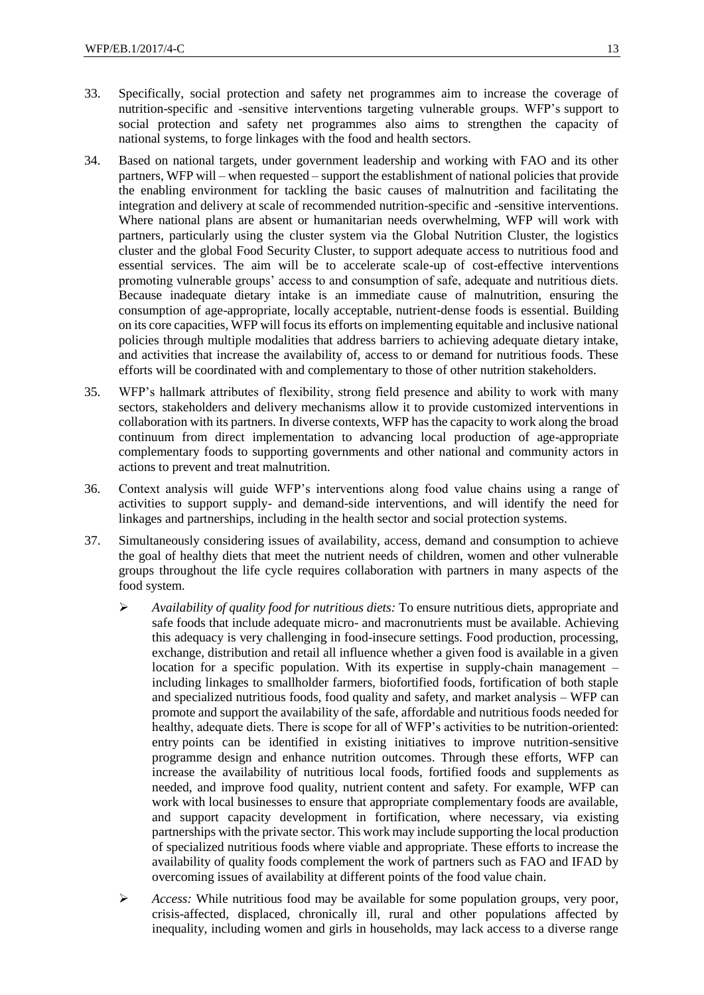- 33. Specifically, social protection and safety net programmes aim to increase the coverage of nutrition-specific and -sensitive interventions targeting vulnerable groups. WFP's support to social protection and safety net programmes also aims to strengthen the capacity of national systems, to forge linkages with the food and health sectors.
- 34. Based on national targets, under government leadership and working with FAO and its other partners, WFP will – when requested – support the establishment of national policies that provide the enabling environment for tackling the basic causes of malnutrition and facilitating the integration and delivery at scale of recommended nutrition-specific and -sensitive interventions. Where national plans are absent or humanitarian needs overwhelming, WFP will work with partners, particularly using the cluster system via the Global Nutrition Cluster, the logistics cluster and the global Food Security Cluster, to support adequate access to nutritious food and essential services. The aim will be to accelerate scale-up of cost-effective interventions promoting vulnerable groups' access to and consumption of safe, adequate and nutritious diets. Because inadequate dietary intake is an immediate cause of malnutrition, ensuring the consumption of age-appropriate, locally acceptable, nutrient-dense foods is essential. Building on its core capacities, WFP will focus its efforts on implementing equitable and inclusive national policies through multiple modalities that address barriers to achieving adequate dietary intake, and activities that increase the availability of, access to or demand for nutritious foods. These efforts will be coordinated with and complementary to those of other nutrition stakeholders.
- 35. WFP's hallmark attributes of flexibility, strong field presence and ability to work with many sectors, stakeholders and delivery mechanisms allow it to provide customized interventions in collaboration with its partners. In diverse contexts, WFP has the capacity to work along the broad continuum from direct implementation to advancing local production of age-appropriate complementary foods to supporting governments and other national and community actors in actions to prevent and treat malnutrition.
- 36. Context analysis will guide WFP's interventions along food value chains using a range of activities to support supply- and demand-side interventions, and will identify the need for linkages and partnerships, including in the health sector and social protection systems.
- 37. Simultaneously considering issues of availability, access, demand and consumption to achieve the goal of healthy diets that meet the nutrient needs of children, women and other vulnerable groups throughout the life cycle requires collaboration with partners in many aspects of the food system.
	- *Availability of quality food for nutritious diets:* To ensure nutritious diets, appropriate and safe foods that include adequate micro- and macronutrients must be available. Achieving this adequacy is very challenging in food-insecure settings. Food production, processing, exchange, distribution and retail all influence whether a given food is available in a given location for a specific population. With its expertise in supply-chain management – including linkages to smallholder farmers, biofortified foods, fortification of both staple and specialized nutritious foods, food quality and safety, and market analysis – WFP can promote and support the availability of the safe, affordable and nutritious foods needed for healthy, adequate diets. There is scope for all of WFP's activities to be nutrition-oriented: entry points can be identified in existing initiatives to improve nutrition-sensitive programme design and enhance nutrition outcomes. Through these efforts, WFP can increase the availability of nutritious local foods, fortified foods and supplements as needed, and improve food quality, nutrient content and safety. For example, WFP can work with local businesses to ensure that appropriate complementary foods are available, and support capacity development in fortification, where necessary, via existing partnerships with the private sector. This work may include supporting the local production of specialized nutritious foods where viable and appropriate. These efforts to increase the availability of quality foods complement the work of partners such as FAO and IFAD by overcoming issues of availability at different points of the food value chain.
	- Access: While nutritious food may be available for some population groups, very poor, crisis-affected, displaced, chronically ill, rural and other populations affected by inequality, including women and girls in households, may lack access to a diverse range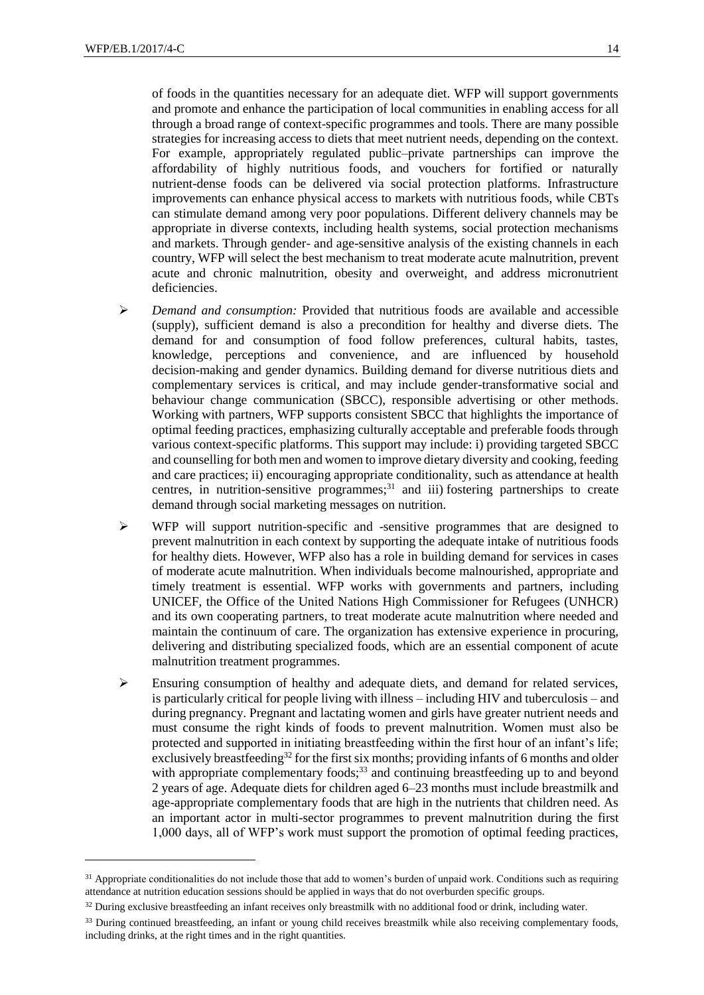-

of foods in the quantities necessary for an adequate diet. WFP will support governments and promote and enhance the participation of local communities in enabling access for all through a broad range of context-specific programmes and tools. There are many possible strategies for increasing access to diets that meet nutrient needs, depending on the context. For example, appropriately regulated public–private partnerships can improve the affordability of highly nutritious foods, and vouchers for fortified or naturally nutrient-dense foods can be delivered via social protection platforms. Infrastructure improvements can enhance physical access to markets with nutritious foods, while CBTs can stimulate demand among very poor populations. Different delivery channels may be appropriate in diverse contexts, including health systems, social protection mechanisms and markets. Through gender- and age-sensitive analysis of the existing channels in each country, WFP will select the best mechanism to treat moderate acute malnutrition, prevent acute and chronic malnutrition, obesity and overweight, and address micronutrient deficiencies.

- *Demand and consumption:* Provided that nutritious foods are available and accessible (supply), sufficient demand is also a precondition for healthy and diverse diets. The demand for and consumption of food follow preferences, cultural habits, tastes, knowledge, perceptions and convenience, and are influenced by household decision-making and gender dynamics. Building demand for diverse nutritious diets and complementary services is critical, and may include gender-transformative social and behaviour change communication (SBCC), responsible advertising or other methods. Working with partners, WFP supports consistent SBCC that highlights the importance of optimal feeding practices, emphasizing culturally acceptable and preferable foods through various context-specific platforms. This support may include: i) providing targeted SBCC and counselling for both men and women to improve dietary diversity and cooking, feeding and care practices; ii) encouraging appropriate conditionality, such as attendance at health centres, in nutrition-sensitive programmes; $^{31}$  and iii) fostering partnerships to create demand through social marketing messages on nutrition.
- $\triangleright$  WFP will support nutrition-specific and -sensitive programmes that are designed to prevent malnutrition in each context by supporting the adequate intake of nutritious foods for healthy diets. However, WFP also has a role in building demand for services in cases of moderate acute malnutrition. When individuals become malnourished, appropriate and timely treatment is essential. WFP works with governments and partners, including UNICEF, the Office of the United Nations High Commissioner for Refugees (UNHCR) and its own cooperating partners, to treat moderate acute malnutrition where needed and maintain the continuum of care. The organization has extensive experience in procuring, delivering and distributing specialized foods, which are an essential component of acute malnutrition treatment programmes.
- $\triangleright$  Ensuring consumption of healthy and adequate diets, and demand for related services, is particularly critical for people living with illness – including HIV and tuberculosis – and during pregnancy. Pregnant and lactating women and girls have greater nutrient needs and must consume the right kinds of foods to prevent malnutrition. Women must also be protected and supported in initiating breastfeeding within the first hour of an infant's life; exclusively breastfeeding<sup>32</sup> for the first six months; providing infants of 6 months and older with appropriate complementary foods;<sup>33</sup> and continuing breastfeeding up to and beyond 2 years of age. Adequate diets for children aged 6–23 months must include breastmilk and age-appropriate complementary foods that are high in the nutrients that children need. As an important actor in multi-sector programmes to prevent malnutrition during the first 1,000 days, all of WFP's work must support the promotion of optimal feeding practices,

<sup>&</sup>lt;sup>31</sup> Appropriate conditionalities do not include those that add to women's burden of unpaid work. Conditions such as requiring attendance at nutrition education sessions should be applied in ways that do not overburden specific groups.

<sup>&</sup>lt;sup>32</sup> During exclusive breastfeeding an infant receives only breastmilk with no additional food or drink, including water.

<sup>&</sup>lt;sup>33</sup> During continued breastfeeding, an infant or young child receives breastmilk while also receiving complementary foods, including drinks, at the right times and in the right quantities.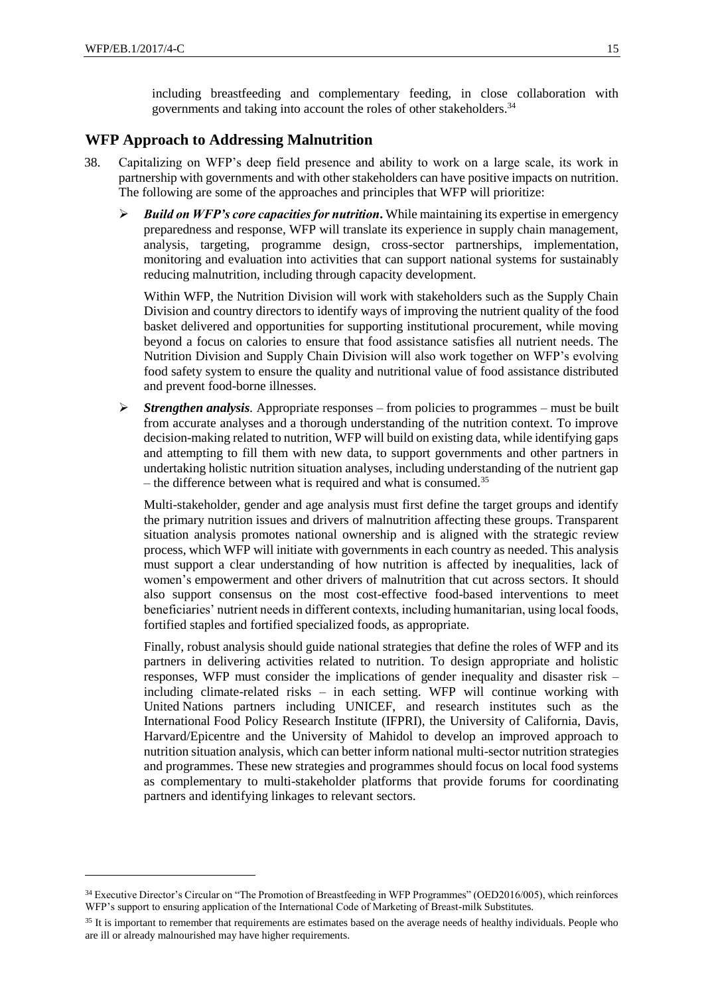including breastfeeding and complementary feeding, in close collaboration with governments and taking into account the roles of other stakeholders.<sup>34</sup>

## **WFP Approach to Addressing Malnutrition**

- 38. Capitalizing on WFP's deep field presence and ability to work on a large scale, its work in partnership with governments and with other stakeholders can have positive impacts on nutrition. The following are some of the approaches and principles that WFP will prioritize:
	- $\triangleright$  **Build on WFP's core capacities for nutrition.** While maintaining its expertise in emergency preparedness and response, WFP will translate its experience in supply chain management, analysis, targeting, programme design, cross-sector partnerships, implementation, monitoring and evaluation into activities that can support national systems for sustainably reducing malnutrition, including through capacity development.

Within WFP, the Nutrition Division will work with stakeholders such as the Supply Chain Division and country directors to identify ways of improving the nutrient quality of the food basket delivered and opportunities for supporting institutional procurement, while moving beyond a focus on calories to ensure that food assistance satisfies all nutrient needs. The Nutrition Division and Supply Chain Division will also work together on WFP's evolving food safety system to ensure the quality and nutritional value of food assistance distributed and prevent food-borne illnesses.

 $\triangleright$  *Strengthen analysis.* Appropriate responses – from policies to programmes – must be built from accurate analyses and a thorough understanding of the nutrition context. To improve decision-making related to nutrition, WFP will build on existing data, while identifying gaps and attempting to fill them with new data, to support governments and other partners in undertaking holistic nutrition situation analyses, including understanding of the nutrient gap – the difference between what is required and what is consumed.<sup>35</sup>

Multi-stakeholder, gender and age analysis must first define the target groups and identify the primary nutrition issues and drivers of malnutrition affecting these groups. Transparent situation analysis promotes national ownership and is aligned with the strategic review process, which WFP will initiate with governments in each country as needed. This analysis must support a clear understanding of how nutrition is affected by inequalities, lack of women's empowerment and other drivers of malnutrition that cut across sectors. It should also support consensus on the most cost-effective food-based interventions to meet beneficiaries' nutrient needs in different contexts, including humanitarian, using local foods, fortified staples and fortified specialized foods, as appropriate.

Finally, robust analysis should guide national strategies that define the roles of WFP and its partners in delivering activities related to nutrition. To design appropriate and holistic responses, WFP must consider the implications of gender inequality and disaster risk – including climate-related risks – in each setting. WFP will continue working with United Nations partners including UNICEF, and research institutes such as the International Food Policy Research Institute (IFPRI), the University of California, Davis, Harvard/Epicentre and the University of Mahidol to develop an improved approach to nutrition situation analysis, which can better inform national multi-sector nutrition strategies and programmes. These new strategies and programmes should focus on local food systems as complementary to multi-stakeholder platforms that provide forums for coordinating partners and identifying linkages to relevant sectors.

<sup>34</sup> Executive Director's Circular on "The Promotion of Breastfeeding in WFP Programmes" (OED2016/005), which reinforces WFP's support to ensuring application of the International Code of Marketing of Breast-milk Substitutes.

<sup>&</sup>lt;sup>35</sup> It is important to remember that requirements are estimates based on the average needs of healthy individuals. People who are ill or already malnourished may have higher requirements.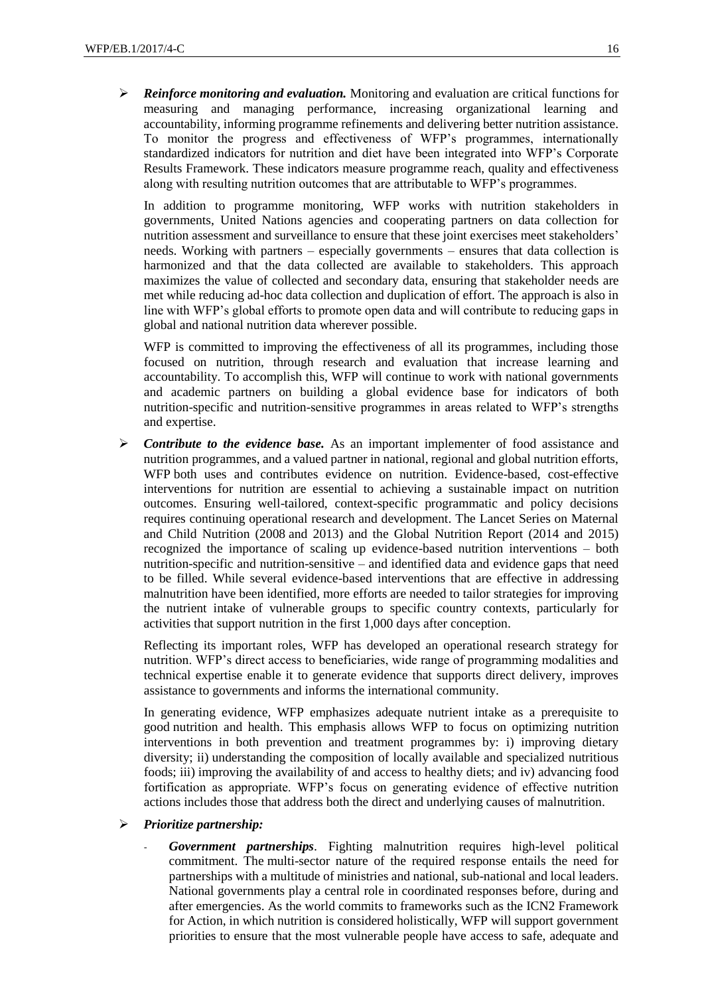*Reinforce monitoring and evaluation.* Monitoring and evaluation are critical functions for measuring and managing performance, increasing organizational learning and accountability, informing programme refinements and delivering better nutrition assistance. To monitor the progress and effectiveness of WFP's programmes, internationally standardized indicators for nutrition and diet have been integrated into WFP's Corporate Results Framework. These indicators measure programme reach, quality and effectiveness along with resulting nutrition outcomes that are attributable to WFP's programmes.

In addition to programme monitoring, WFP works with nutrition stakeholders in governments, United Nations agencies and cooperating partners on data collection for nutrition assessment and surveillance to ensure that these joint exercises meet stakeholders' needs. Working with partners – especially governments – ensures that data collection is harmonized and that the data collected are available to stakeholders. This approach maximizes the value of collected and secondary data, ensuring that stakeholder needs are met while reducing ad-hoc data collection and duplication of effort. The approach is also in line with WFP's global efforts to promote open data and will contribute to reducing gaps in global and national nutrition data wherever possible.

WFP is committed to improving the effectiveness of all its programmes, including those focused on nutrition, through research and evaluation that increase learning and accountability. To accomplish this, WFP will continue to work with national governments and academic partners on building a global evidence base for indicators of both nutrition-specific and nutrition-sensitive programmes in areas related to WFP's strengths and expertise.

 *Contribute to the evidence base.* As an important implementer of food assistance and nutrition programmes, and a valued partner in national, regional and global nutrition efforts, WFP both uses and contributes evidence on nutrition. Evidence-based, cost-effective interventions for nutrition are essential to achieving a sustainable impact on nutrition outcomes. Ensuring well-tailored, context-specific programmatic and policy decisions requires continuing operational research and development. The Lancet Series on Maternal and Child Nutrition (2008 and 2013) and the Global Nutrition Report (2014 and 2015) recognized the importance of scaling up evidence-based nutrition interventions – both nutrition-specific and nutrition-sensitive – and identified data and evidence gaps that need to be filled. While several evidence-based interventions that are effective in addressing malnutrition have been identified, more efforts are needed to tailor strategies for improving the nutrient intake of vulnerable groups to specific country contexts, particularly for activities that support nutrition in the first 1,000 days after conception.

Reflecting its important roles, WFP has developed an operational research strategy for nutrition. WFP's direct access to beneficiaries, wide range of programming modalities and technical expertise enable it to generate evidence that supports direct delivery, improves assistance to governments and informs the international community.

In generating evidence, WFP emphasizes adequate nutrient intake as a prerequisite to good nutrition and health. This emphasis allows WFP to focus on optimizing nutrition interventions in both prevention and treatment programmes by: i) improving dietary diversity; ii) understanding the composition of locally available and specialized nutritious foods; iii) improving the availability of and access to healthy diets; and iv) advancing food fortification as appropriate. WFP's focus on generating evidence of effective nutrition actions includes those that address both the direct and underlying causes of malnutrition.

#### *Prioritize partnership:*

- *Government partnerships*. Fighting malnutrition requires high-level political commitment. The multi-sector nature of the required response entails the need for partnerships with a multitude of ministries and national, sub-national and local leaders. National governments play a central role in coordinated responses before, during and after emergencies. As the world commits to frameworks such as the ICN2 Framework for Action, in which nutrition is considered holistically, WFP will support government priorities to ensure that the most vulnerable people have access to safe, adequate and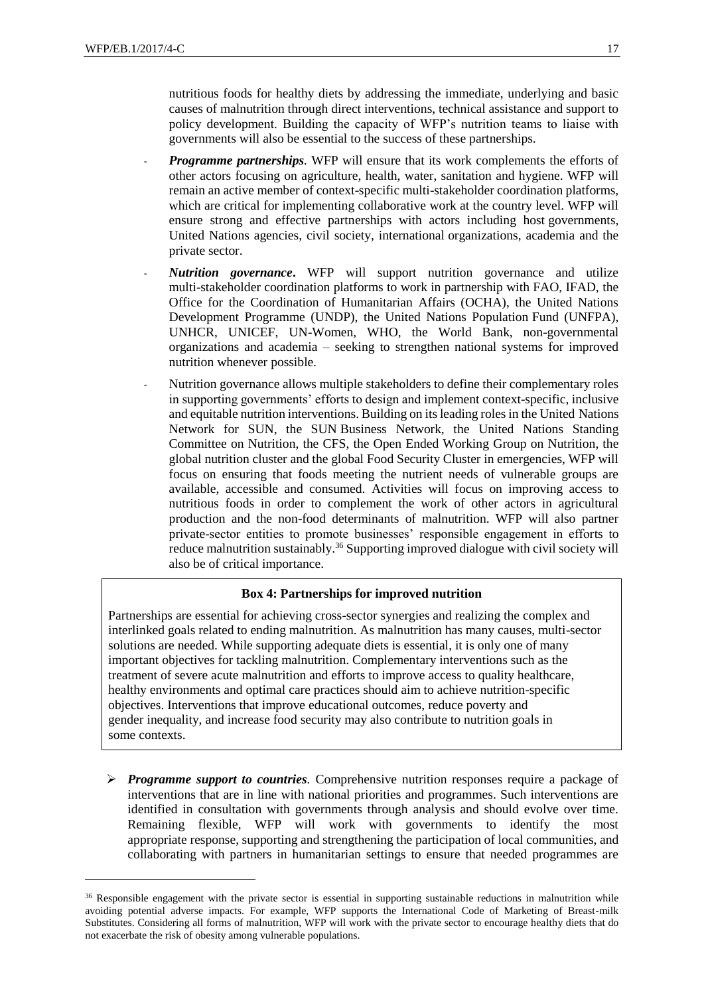nutritious foods for healthy diets by addressing the immediate, underlying and basic causes of malnutrition through direct interventions, technical assistance and support to policy development. Building the capacity of WFP's nutrition teams to liaise with governments will also be essential to the success of these partnerships.

- *Programme partnerships.* WFP will ensure that its work complements the efforts of other actors focusing on agriculture, health, water, sanitation and hygiene. WFP will remain an active member of context-specific multi-stakeholder coordination platforms, which are critical for implementing collaborative work at the country level. WFP will ensure strong and effective partnerships with actors including host governments, United Nations agencies, civil society, international organizations, academia and the private sector.
- *Nutrition governance***.** WFP will support nutrition governance and utilize multi-stakeholder coordination platforms to work in partnership with FAO, IFAD, the Office for the Coordination of Humanitarian Affairs (OCHA), the United Nations Development Programme (UNDP), the United Nations Population Fund (UNFPA), UNHCR, UNICEF, UN-Women, WHO, the World Bank, non-governmental organizations and academia – seeking to strengthen national systems for improved nutrition whenever possible.
- Nutrition governance allows multiple stakeholders to define their complementary roles in supporting governments' efforts to design and implement context-specific, inclusive and equitable nutrition interventions. Building on its leading roles in the United Nations Network for SUN, the SUN Business Network, the United Nations Standing Committee on Nutrition, the CFS, the Open Ended Working Group on Nutrition, the global nutrition cluster and the global Food Security Cluster in emergencies, WFP will focus on ensuring that foods meeting the nutrient needs of vulnerable groups are available, accessible and consumed. Activities will focus on improving access to nutritious foods in order to complement the work of other actors in agricultural production and the non-food determinants of malnutrition. WFP will also partner private-sector entities to promote businesses' responsible engagement in efforts to reduce malnutrition sustainably.<sup>36</sup> Supporting improved dialogue with civil society will also be of critical importance.

#### **Box 4: Partnerships for improved nutrition**

Partnerships are essential for achieving cross-sector synergies and realizing the complex and interlinked goals related to ending malnutrition. As malnutrition has many causes, multi-sector solutions are needed. While supporting adequate diets is essential, it is only one of many important objectives for tackling malnutrition. Complementary interventions such as the treatment of severe acute malnutrition and efforts to improve access to quality healthcare, healthy environments and optimal care practices should aim to achieve nutrition-specific objectives. Interventions that improve educational outcomes, reduce poverty and gender inequality, and increase food security may also contribute to nutrition goals in some contexts.

 *Programme support to countries.* Comprehensive nutrition responses require a package of interventions that are in line with national priorities and programmes. Such interventions are identified in consultation with governments through analysis and should evolve over time. Remaining flexible, WFP will work with governments to identify the most appropriate response, supporting and strengthening the participation of local communities, and collaborating with partners in humanitarian settings to ensure that needed programmes are

<sup>&</sup>lt;sup>36</sup> Responsible engagement with the private sector is essential in supporting sustainable reductions in malnutrition while avoiding potential adverse impacts. For example, WFP supports the International Code of Marketing of Breast-milk Substitutes. Considering all forms of malnutrition, WFP will work with the private sector to encourage healthy diets that do not exacerbate the risk of obesity among vulnerable populations.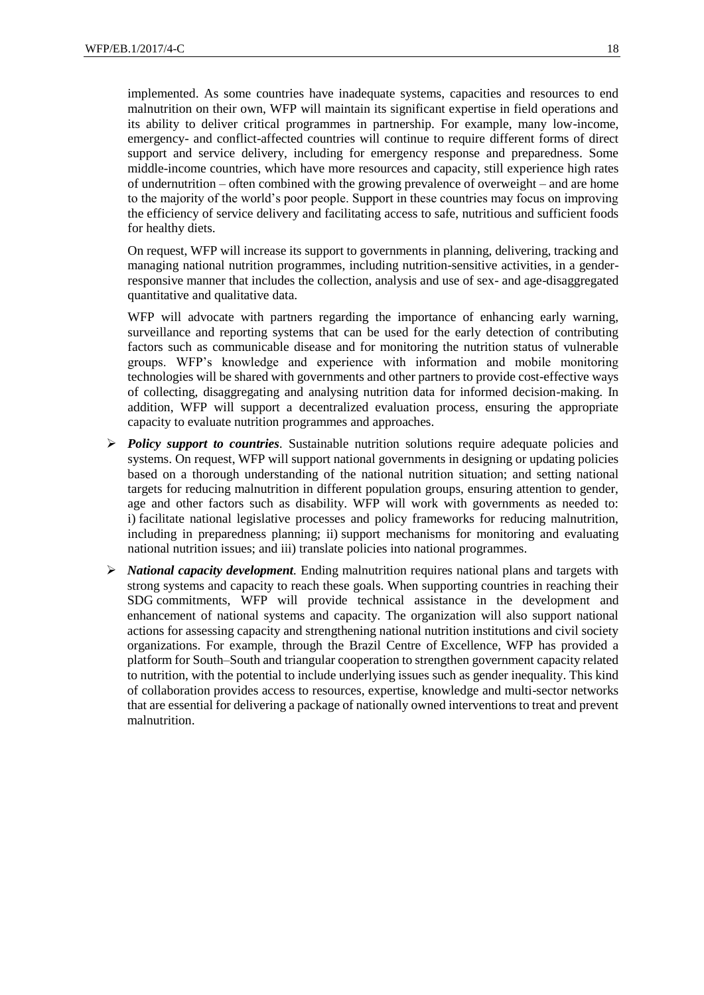implemented. As some countries have inadequate systems, capacities and resources to end malnutrition on their own, WFP will maintain its significant expertise in field operations and its ability to deliver critical programmes in partnership. For example, many low-income, emergency- and conflict-affected countries will continue to require different forms of direct support and service delivery, including for emergency response and preparedness. Some middle-income countries, which have more resources and capacity, still experience high rates of undernutrition – often combined with the growing prevalence of overweight – and are home to the majority of the world's poor people. Support in these countries may focus on improving the efficiency of service delivery and facilitating access to safe, nutritious and sufficient foods for healthy diets.

On request, WFP will increase its support to governments in planning, delivering, tracking and managing national nutrition programmes, including nutrition-sensitive activities, in a genderresponsive manner that includes the collection, analysis and use of sex- and age-disaggregated quantitative and qualitative data.

WFP will advocate with partners regarding the importance of enhancing early warning, surveillance and reporting systems that can be used for the early detection of contributing factors such as communicable disease and for monitoring the nutrition status of vulnerable groups. WFP's knowledge and experience with information and mobile monitoring technologies will be shared with governments and other partners to provide cost-effective ways of collecting, disaggregating and analysing nutrition data for informed decision-making. In addition, WFP will support a decentralized evaluation process, ensuring the appropriate capacity to evaluate nutrition programmes and approaches.

- *Policy support to countries.* Sustainable nutrition solutions require adequate policies and systems. On request, WFP will support national governments in designing or updating policies based on a thorough understanding of the national nutrition situation; and setting national targets for reducing malnutrition in different population groups, ensuring attention to gender, age and other factors such as disability. WFP will work with governments as needed to: i) facilitate national legislative processes and policy frameworks for reducing malnutrition, including in preparedness planning; ii) support mechanisms for monitoring and evaluating national nutrition issues; and iii) translate policies into national programmes.
- *National capacity development.* Ending malnutrition requires national plans and targets with strong systems and capacity to reach these goals. When supporting countries in reaching their SDG commitments, WFP will provide technical assistance in the development and enhancement of national systems and capacity. The organization will also support national actions for assessing capacity and strengthening national nutrition institutions and civil society organizations. For example, through the Brazil Centre of Excellence, WFP has provided a platform for South–South and triangular cooperation to strengthen government capacity related to nutrition, with the potential to include underlying issues such as gender inequality. This kind of collaboration provides access to resources, expertise, knowledge and multi-sector networks that are essential for delivering a package of nationally owned interventions to treat and prevent malnutrition.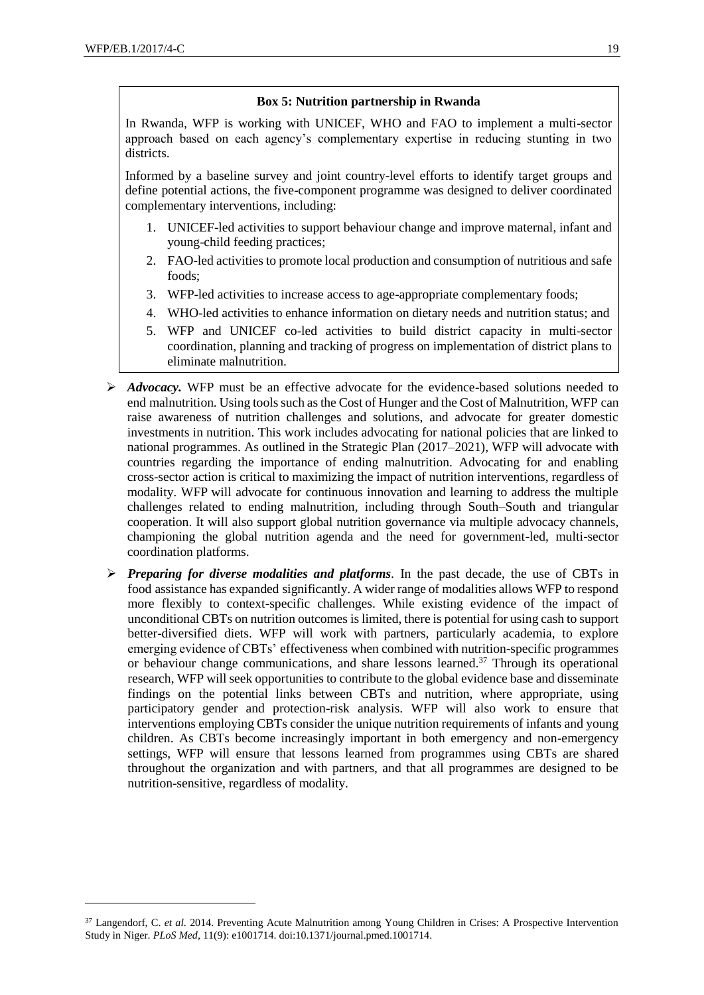## **Box 5: Nutrition partnership in Rwanda**

In Rwanda, WFP is working with UNICEF, WHO and FAO to implement a multi-sector approach based on each agency's complementary expertise in reducing stunting in two districts.

Informed by a baseline survey and joint country-level efforts to identify target groups and define potential actions, the five-component programme was designed to deliver coordinated complementary interventions, including:

- 1. UNICEF-led activities to support behaviour change and improve maternal, infant and young-child feeding practices;
- 2. FAO-led activities to promote local production and consumption of nutritious and safe foods;
- 3. WFP-led activities to increase access to age-appropriate complementary foods;
- 4. WHO-led activities to enhance information on dietary needs and nutrition status; and
- 5. WFP and UNICEF co-led activities to build district capacity in multi-sector coordination, planning and tracking of progress on implementation of district plans to eliminate malnutrition.
- *Advocacy.* WFP must be an effective advocate for the evidence-based solutions needed to end malnutrition. Using tools such as the Cost of Hunger and the Cost of Malnutrition, WFP can raise awareness of nutrition challenges and solutions, and advocate for greater domestic investments in nutrition. This work includes advocating for national policies that are linked to national programmes. As outlined in the Strategic Plan (2017–2021), WFP will advocate with countries regarding the importance of ending malnutrition. Advocating for and enabling cross-sector action is critical to maximizing the impact of nutrition interventions, regardless of modality. WFP will advocate for continuous innovation and learning to address the multiple challenges related to ending malnutrition, including through South–South and triangular cooperation. It will also support global nutrition governance via multiple advocacy channels, championing the global nutrition agenda and the need for government-led, multi-sector coordination platforms.
- *Preparing for diverse modalities and platforms.* In the past decade, the use of CBTs in food assistance has expanded significantly. A wider range of modalities allows WFP to respond more flexibly to context-specific challenges. While existing evidence of the impact of unconditional CBTs on nutrition outcomes is limited, there is potential for using cash to support better-diversified diets. WFP will work with partners, particularly academia, to explore emerging evidence of CBTs' effectiveness when combined with nutrition-specific programmes or behaviour change communications, and share lessons learned.<sup>37</sup> Through its operational research, WFP will seek opportunities to contribute to the global evidence base and disseminate findings on the potential links between CBTs and nutrition, where appropriate, using participatory gender and protection-risk analysis. WFP will also work to ensure that interventions employing CBTs consider the unique nutrition requirements of infants and young children. As CBTs become increasingly important in both emergency and non-emergency settings, WFP will ensure that lessons learned from programmes using CBTs are shared throughout the organization and with partners, and that all programmes are designed to be nutrition-sensitive, regardless of modality.

<sup>&</sup>lt;sup>37</sup> Langendorf, C. et al. 2014. Preventing Acute Malnutrition among Young Children in Crises: A Prospective Intervention Study in Niger. *PLoS Med,* 11(9): e1001714. doi:10.1371/journal.pmed.1001714.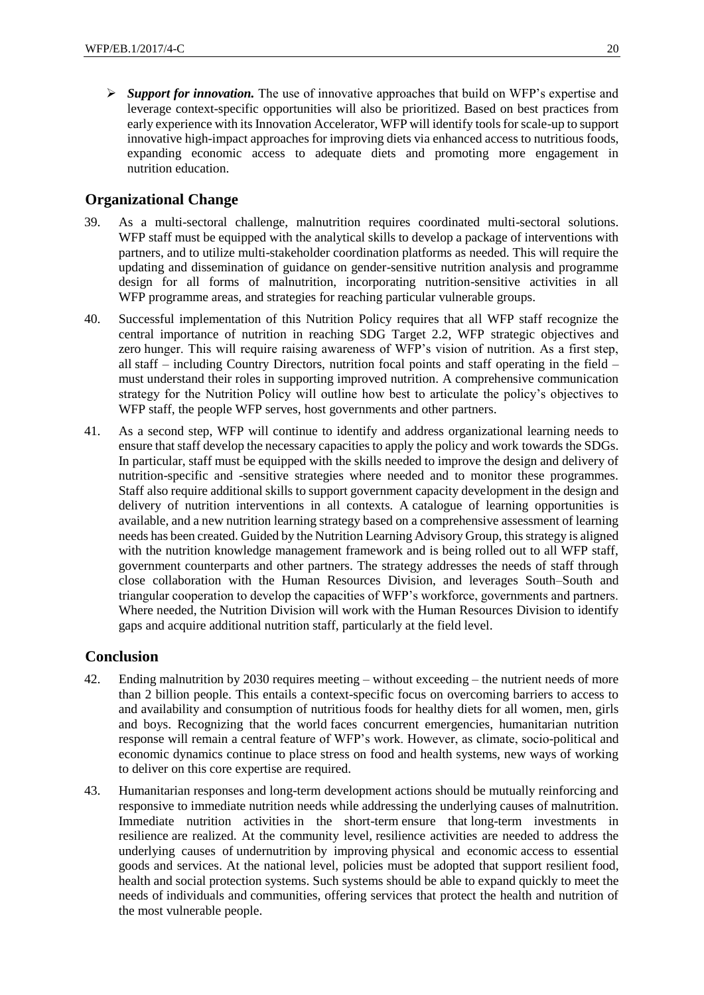*Support for innovation.* The use of innovative approaches that build on WFP's expertise and leverage context-specific opportunities will also be prioritized. Based on best practices from early experience with its Innovation Accelerator, WFP will identify tools for scale-up to support innovative high-impact approaches for improving diets via enhanced access to nutritious foods, expanding economic access to adequate diets and promoting more engagement in nutrition education.

## **Organizational Change**

- 39. As a multi-sectoral challenge, malnutrition requires coordinated multi-sectoral solutions. WFP staff must be equipped with the analytical skills to develop a package of interventions with partners, and to utilize multi-stakeholder coordination platforms as needed. This will require the updating and dissemination of guidance on gender-sensitive nutrition analysis and programme design for all forms of malnutrition, incorporating nutrition-sensitive activities in all WFP programme areas, and strategies for reaching particular vulnerable groups.
- 40. Successful implementation of this Nutrition Policy requires that all WFP staff recognize the central importance of nutrition in reaching SDG Target 2.2, WFP strategic objectives and zero hunger. This will require raising awareness of WFP's vision of nutrition. As a first step, all staff – including Country Directors, nutrition focal points and staff operating in the field – must understand their roles in supporting improved nutrition. A comprehensive communication strategy for the Nutrition Policy will outline how best to articulate the policy's objectives to WFP staff, the people WFP serves, host governments and other partners.
- 41. As a second step, WFP will continue to identify and address organizational learning needs to ensure that staff develop the necessary capacities to apply the policy and work towards the SDGs. In particular, staff must be equipped with the skills needed to improve the design and delivery of nutrition-specific and -sensitive strategies where needed and to monitor these programmes. Staff also require additional skills to support government capacity development in the design and delivery of nutrition interventions in all contexts. A catalogue of learning opportunities is available, and a new nutrition learning strategy based on a comprehensive assessment of learning needs has been created. Guided by the Nutrition Learning Advisory Group, this strategy is aligned with the nutrition knowledge management framework and is being rolled out to all WFP staff, government counterparts and other partners. The strategy addresses the needs of staff through close collaboration with the Human Resources Division, and leverages South–South and triangular cooperation to develop the capacities of WFP's workforce, governments and partners. Where needed, the Nutrition Division will work with the Human Resources Division to identify gaps and acquire additional nutrition staff, particularly at the field level.

## **Conclusion**

- 42. Ending malnutrition by 2030 requires meeting without exceeding the nutrient needs of more than 2 billion people. This entails a context-specific focus on overcoming barriers to access to and availability and consumption of nutritious foods for healthy diets for all women, men, girls and boys. Recognizing that the world faces concurrent emergencies, humanitarian nutrition response will remain a central feature of WFP's work. However, as climate, socio-political and economic dynamics continue to place stress on food and health systems, new ways of working to deliver on this core expertise are required.
- 43. Humanitarian responses and long-term development actions should be mutually reinforcing and responsive to immediate nutrition needs while addressing the underlying causes of malnutrition. Immediate nutrition activities in the short-term ensure that long-term investments in resilience are realized. At the community level, resilience activities are needed to address the underlying causes of undernutrition by improving physical and economic access to essential goods and services. At the national level, policies must be adopted that support resilient food, health and social protection systems. Such systems should be able to expand quickly to meet the needs of individuals and communities, offering services that protect the health and nutrition of the most vulnerable people.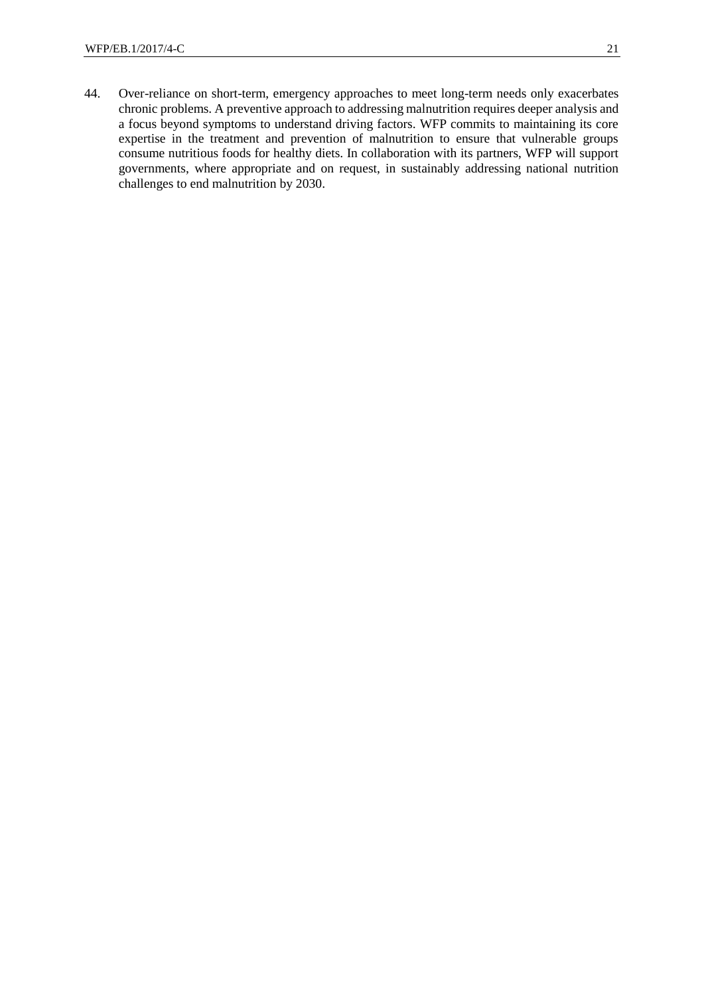44. Over-reliance on short-term, emergency approaches to meet long-term needs only exacerbates chronic problems. A preventive approach to addressing malnutrition requires deeper analysis and a focus beyond symptoms to understand driving factors. WFP commits to maintaining its core expertise in the treatment and prevention of malnutrition to ensure that vulnerable groups consume nutritious foods for healthy diets. In collaboration with its partners, WFP will support governments, where appropriate and on request, in sustainably addressing national nutrition challenges to end malnutrition by 2030.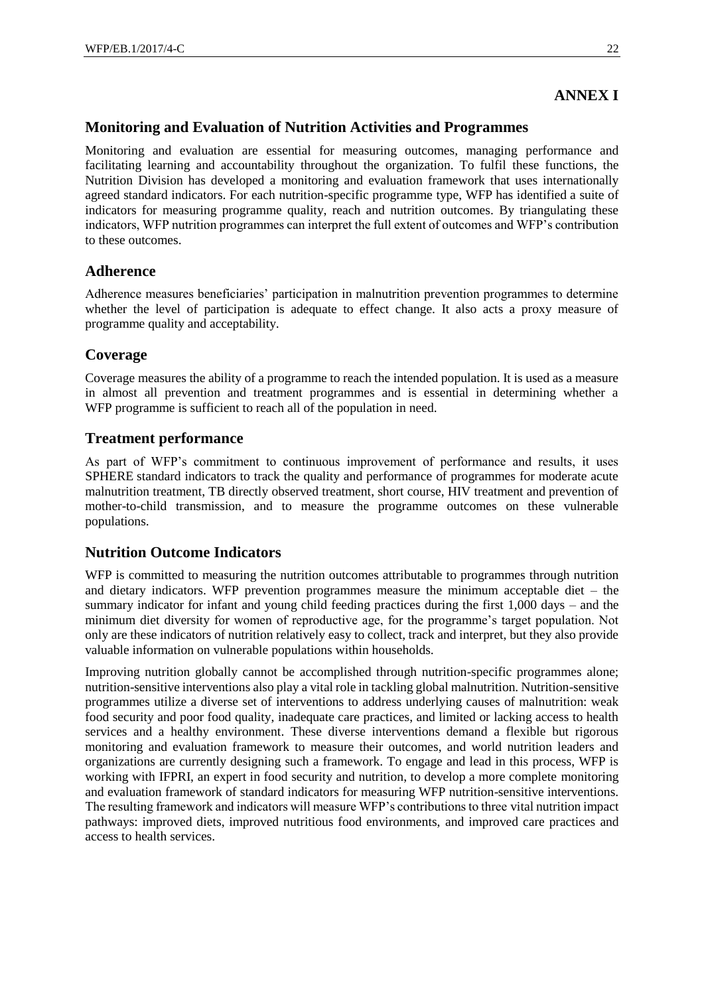## **ANNEX I**

## **Monitoring and Evaluation of Nutrition Activities and Programmes**

Monitoring and evaluation are essential for measuring outcomes, managing performance and facilitating learning and accountability throughout the organization. To fulfil these functions, the Nutrition Division has developed a monitoring and evaluation framework that uses internationally agreed standard indicators. For each nutrition-specific programme type, WFP has identified a suite of indicators for measuring programme quality, reach and nutrition outcomes. By triangulating these indicators, WFP nutrition programmes can interpret the full extent of outcomes and WFP's contribution to these outcomes.

## **Adherence**

Adherence measures beneficiaries' participation in malnutrition prevention programmes to determine whether the level of participation is adequate to effect change. It also acts a proxy measure of programme quality and acceptability.

## **Coverage**

Coverage measures the ability of a programme to reach the intended population. It is used as a measure in almost all prevention and treatment programmes and is essential in determining whether a WFP programme is sufficient to reach all of the population in need.

#### **Treatment performance**

As part of WFP's commitment to continuous improvement of performance and results, it uses SPHERE standard indicators to track the quality and performance of programmes for moderate acute malnutrition treatment, TB directly observed treatment, short course, HIV treatment and prevention of mother-to-child transmission, and to measure the programme outcomes on these vulnerable populations.

## **Nutrition Outcome Indicators**

WFP is committed to measuring the nutrition outcomes attributable to programmes through nutrition and dietary indicators. WFP prevention programmes measure the minimum acceptable diet – the summary indicator for infant and young child feeding practices during the first 1,000 days – and the minimum diet diversity for women of reproductive age, for the programme's target population. Not only are these indicators of nutrition relatively easy to collect, track and interpret, but they also provide valuable information on vulnerable populations within households.

Improving nutrition globally cannot be accomplished through nutrition-specific programmes alone; nutrition-sensitive interventions also play a vital role in tackling global malnutrition. Nutrition-sensitive programmes utilize a diverse set of interventions to address underlying causes of malnutrition: weak food security and poor food quality, inadequate care practices, and limited or lacking access to health services and a healthy environment. These diverse interventions demand a flexible but rigorous monitoring and evaluation framework to measure their outcomes, and world nutrition leaders and organizations are currently designing such a framework. To engage and lead in this process, WFP is working with IFPRI, an expert in food security and nutrition, to develop a more complete monitoring and evaluation framework of standard indicators for measuring WFP nutrition-sensitive interventions. The resulting framework and indicators will measure WFP's contributions to three vital nutrition impact pathways: improved diets, improved nutritious food environments, and improved care practices and access to health services.